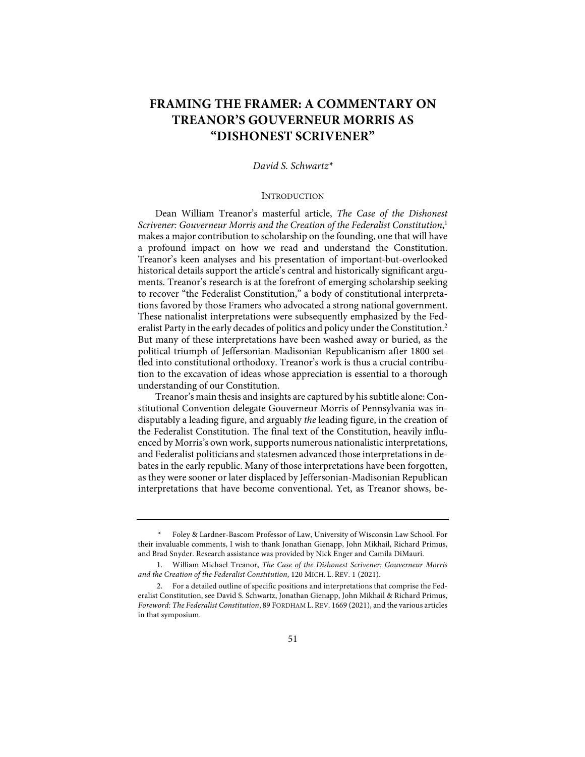# **FRAMING THE FRAMER: A COMMENTARY ON TREANOR'S GOUVERNEUR MORRIS AS "DISHONEST SCRIVENER"**

# *David S. Schwartz\**

#### **INTRODUCTION**

Dean William Treanor's masterful article, *The Case of the Dishonest Scrivener: Gouverneur Morris and the Creation of the Federalist Constitution*, 1 makes a major contribution to scholarship on the founding, one that will have a profound impact on how we read and understand the Constitution. Treanor's keen analyses and his presentation of important-but-overlooked historical details support the article's central and historically significant arguments. Treanor's research is at the forefront of emerging scholarship seeking to recover "the Federalist Constitution," a body of constitutional interpretations favored by those Framers who advocated a strong national government. These nationalist interpretations were subsequently emphasized by the Federalist Party in the early decades of politics and policy under the Constitution.<sup>2</sup> But many of these interpretations have been washed away or buried, as the political triumph of Jeffersonian-Madisonian Republicanism after 1800 settled into constitutional orthodoxy. Treanor's work is thus a crucial contribution to the excavation of ideas whose appreciation is essential to a thorough understanding of our Constitution.

Treanor's main thesis and insights are captured by his subtitle alone: Constitutional Convention delegate Gouverneur Morris of Pennsylvania was indisputably a leading figure, and arguably *the* leading figure, in the creation of the Federalist Constitution. The final text of the Constitution, heavily influenced by Morris's own work, supports numerous nationalistic interpretations, and Federalist politicians and statesmen advanced those interpretations in debates in the early republic. Many of those interpretations have been forgotten, as they were sooner or later displaced by Jeffersonian-Madisonian Republican interpretations that have become conventional. Yet, as Treanor shows, be-

*<sup>\*</sup>* Foley & Lardner-Bascom Professor of Law, University of Wisconsin Law School. For their invaluable comments, I wish to thank Jonathan Gienapp, John Mikhail, Richard Primus, and Brad Snyder. Research assistance was provided by Nick Enger and Camila DiMauri.

<sup>1.</sup> William Michael Treanor, *The Case of the Dishonest Scrivener: Gouverneur Morris and the Creation of the Federalist Constitution*, 120 MICH. L. REV. 1 (2021).

<sup>2.</sup> For a detailed outline of specific positions and interpretations that comprise the Federalist Constitution, see David S. Schwartz, Jonathan Gienapp, John Mikhail & Richard Primus, *Foreword: The Federalist Constitution*, 89 FORDHAM L. REV. 1669 (2021), and the various articles in that symposium.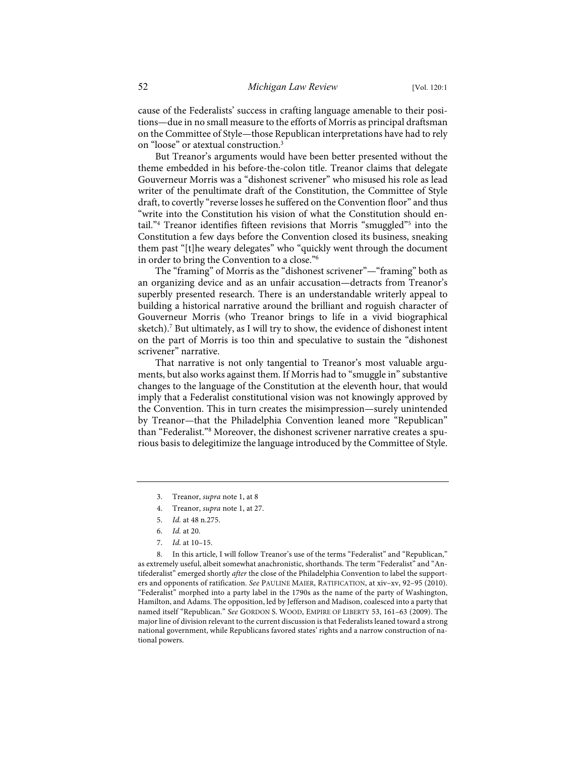cause of the Federalists' success in crafting language amenable to their positions—due in no small measure to the efforts of Morris as principal draftsman on the Committee of Style—those Republican interpretations have had to rely on "loose" or atextual construction.3

But Treanor's arguments would have been better presented without the theme embedded in his before-the-colon title. Treanor claims that delegate Gouverneur Morris was a "dishonest scrivener" who misused his role as lead writer of the penultimate draft of the Constitution, the Committee of Style draft, to covertly "reverse losses he suffered on the Convention floor" and thus "write into the Constitution his vision of what the Constitution should entail."<sup>4</sup> Treanor identifies fifteen revisions that Morris "smuggled"<sup>5</sup> into the Constitution a few days before the Convention closed its business, sneaking them past "[t]he weary delegates" who "quickly went through the document in order to bring the Convention to a close."6

The "framing" of Morris as the "dishonest scrivener"—"framing" both as an organizing device and as an unfair accusation—detracts from Treanor's superbly presented research. There is an understandable writerly appeal to building a historical narrative around the brilliant and roguish character of Gouverneur Morris (who Treanor brings to life in a vivid biographical sketch).<sup>7</sup> But ultimately, as I will try to show, the evidence of dishonest intent on the part of Morris is too thin and speculative to sustain the "dishonest scrivener" narrative.

That narrative is not only tangential to Treanor's most valuable arguments, but also works against them. If Morris had to "smuggle in" substantive changes to the language of the Constitution at the eleventh hour, that would imply that a Federalist constitutional vision was not knowingly approved by the Convention. This in turn creates the misimpression—surely unintended by Treanor—that the Philadelphia Convention leaned more "Republican" than "Federalist."8 Moreover, the dishonest scrivener narrative creates a spurious basis to delegitimize the language introduced by the Committee of Style.

8. In this article, I will follow Treanor's use of the terms "Federalist" and "Republican," as extremely useful, albeit somewhat anachronistic, shorthands. The term "Federalist" and "Antifederalist" emerged shortly *after* the close of the Philadelphia Convention to label the supporters and opponents of ratification. *See* PAULINE MAIER, RATIFICATION, at xiv–xv, 92–95 (2010). "Federalist" morphed into a party label in the 1790s as the name of the party of Washington, Hamilton, and Adams. The opposition, led by Jefferson and Madison, coalesced into a party that named itself "Republican." *See* GORDON S. WOOD, EMPIRE OF LIBERTY 53, 161–63 (2009). The major line of division relevant to the current discussion is that Federalists leaned toward a strong national government, while Republicans favored states' rights and a narrow construction of national powers.

<sup>3.</sup> Treanor, *supra* note 1, at 8

<sup>4.</sup> Treanor, *supra* note 1, at 27.

<sup>5.</sup> *Id.* at 48 n.275.

<sup>6.</sup> *Id.* at 20.

<sup>7.</sup> *Id.* at 10–15.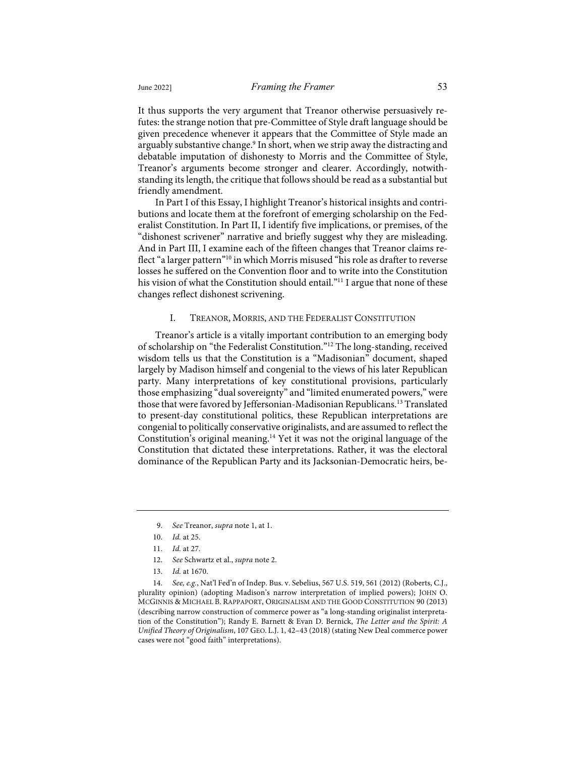It thus supports the very argument that Treanor otherwise persuasively refutes: the strange notion that pre-Committee of Style draft language should be given precedence whenever it appears that the Committee of Style made an arguably substantive change.<sup>9</sup> In short, when we strip away the distracting and debatable imputation of dishonesty to Morris and the Committee of Style, Treanor's arguments become stronger and clearer. Accordingly, notwithstanding its length, the critique that follows should be read as a substantial but friendly amendment.

In Part I of this Essay, I highlight Treanor's historical insights and contributions and locate them at the forefront of emerging scholarship on the Federalist Constitution. In Part II, I identify five implications, or premises, of the "dishonest scrivener" narrative and briefly suggest why they are misleading. And in Part III, I examine each of the fifteen changes that Treanor claims reflect "a larger pattern"10 in which Morris misused "his role as drafter to reverse losses he suffered on the Convention floor and to write into the Constitution his vision of what the Constitution should entail."<sup>11</sup> I argue that none of these changes reflect dishonest scrivening.

### I. TREANOR, MORRIS, AND THE FEDERALIST CONSTITUTION

Treanor's article is a vitally important contribution to an emerging body of scholarship on "the Federalist Constitution."12 The long-standing, received wisdom tells us that the Constitution is a "Madisonian" document, shaped largely by Madison himself and congenial to the views of his later Republican party. Many interpretations of key constitutional provisions, particularly those emphasizing "dual sovereignty" and "limited enumerated powers," were those that were favored by Jeffersonian-Madisonian Republicans.<sup>13</sup> Translated to present-day constitutional politics, these Republican interpretations are congenial to politically conservative originalists, and are assumed to reflect the Constitution's original meaning.14 Yet it was not the original language of the Constitution that dictated these interpretations. Rather, it was the electoral dominance of the Republican Party and its Jacksonian-Democratic heirs, be-

<sup>9.</sup> *See* Treanor, *supra* note 1, at 1.

<sup>10.</sup> *Id.* at 25.

<sup>11.</sup> *Id.* at 27.

<sup>12.</sup> *See* Schwartz et al., *supra* note 2.

<sup>13.</sup> *Id.* at 1670.

<sup>14.</sup> *See, e.g.*, Nat'l Fed'n of Indep. Bus. v. Sebelius, 567 U.S. 519, 561 (2012) (Roberts, C.J., plurality opinion) (adopting Madison's narrow interpretation of implied powers); JOHN O. MCGINNIS & MICHAEL B. RAPPAPORT, ORIGINALISM AND THE GOOD CONSTITUTION 90 (2013) (describing narrow construction of commerce power as "a long-standing originalist interpretation of the Constitution"); Randy E. Barnett & Evan D. Bernick, *The Letter and the Spirit: A Unified Theory of Originalism*, 107 GEO. L.J. 1, 42–43 (2018) (stating New Deal commerce power cases were not "good faith" interpretations).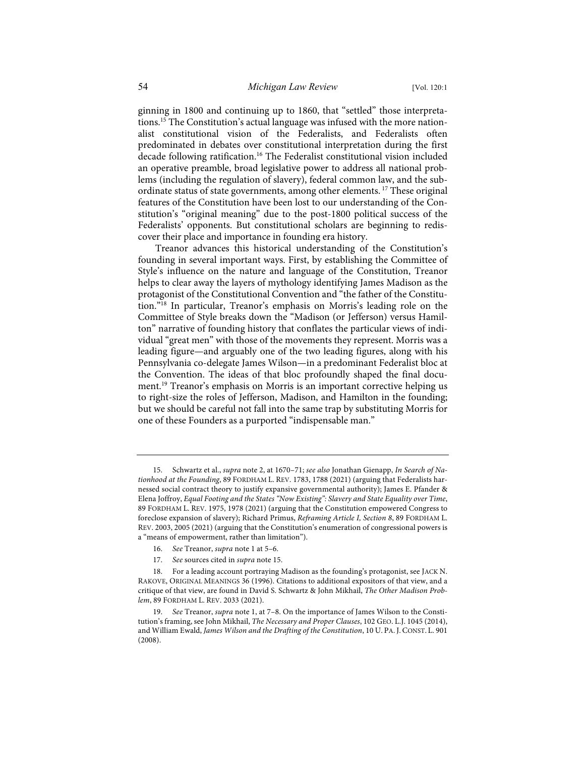ginning in 1800 and continuing up to 1860, that "settled" those interpretations.<sup>15</sup> The Constitution's actual language was infused with the more nationalist constitutional vision of the Federalists, and Federalists often predominated in debates over constitutional interpretation during the first decade following ratification.<sup>16</sup> The Federalist constitutional vision included an operative preamble, broad legislative power to address all national problems (including the regulation of slavery), federal common law, and the subordinate status of state governments, among other elements. <sup>17</sup> These original features of the Constitution have been lost to our understanding of the Constitution's "original meaning" due to the post-1800 political success of the Federalists' opponents. But constitutional scholars are beginning to rediscover their place and importance in founding era history.

Treanor advances this historical understanding of the Constitution's founding in several important ways. First, by establishing the Committee of Style's influence on the nature and language of the Constitution, Treanor helps to clear away the layers of mythology identifying James Madison as the protagonist of the Constitutional Convention and "the father of the Constitution."18 In particular, Treanor's emphasis on Morris's leading role on the Committee of Style breaks down the "Madison (or Jefferson) versus Hamilton" narrative of founding history that conflates the particular views of individual "great men" with those of the movements they represent. Morris was a leading figure—and arguably one of the two leading figures, along with his Pennsylvania co-delegate James Wilson—in a predominant Federalist bloc at the Convention. The ideas of that bloc profoundly shaped the final document.<sup>19</sup> Treanor's emphasis on Morris is an important corrective helping us to right-size the roles of Jefferson, Madison, and Hamilton in the founding; but we should be careful not fall into the same trap by substituting Morris for one of these Founders as a purported "indispensable man."

- 16. *See* Treanor, *supra* note 1 at 5–6.
- 17. *See* sources cited in *supra* note 15.

<sup>15.</sup> Schwartz et al., *supra* note 2, at 1670–71; *see also* Jonathan Gienapp, *In Search of Nationhood at the Founding*, 89 FORDHAM L. REV. 1783, 1788 (2021) (arguing that Federalists harnessed social contract theory to justify expansive governmental authority); James E. Pfander & Elena Joffroy, *Equal Footing and the States "Now Existing": Slavery and State Equality over Time*, 89 FORDHAM L. REV. 1975, 1978 (2021) (arguing that the Constitution empowered Congress to foreclose expansion of slavery); Richard Primus, *Reframing Article I, Section 8*, 89 FORDHAM L. REV. 2003, 2005 (2021) (arguing that the Constitution's enumeration of congressional powers is a "means of empowerment, rather than limitation").

<sup>18.</sup> For a leading account portraying Madison as the founding's protagonist, see JACK N. RAKOVE, ORIGINAL MEANINGS 36 (1996). Citations to additional expositors of that view, and a critique of that view, are found in David S. Schwartz & John Mikhail, *The Other Madison Problem*, 89 FORDHAM L. REV. 2033 (2021).

<sup>19.</sup> *See* Treanor, *supra* note 1, at 7–8. On the importance of James Wilson to the Constitution's framing, see John Mikhail, *The Necessary and Proper Clauses*, 102 GEO. L.J. 1045 (2014), and William Ewald, *James Wilson and the Drafting of the Constitution*, 10 U. PA.J.CONST. L. 901 (2008).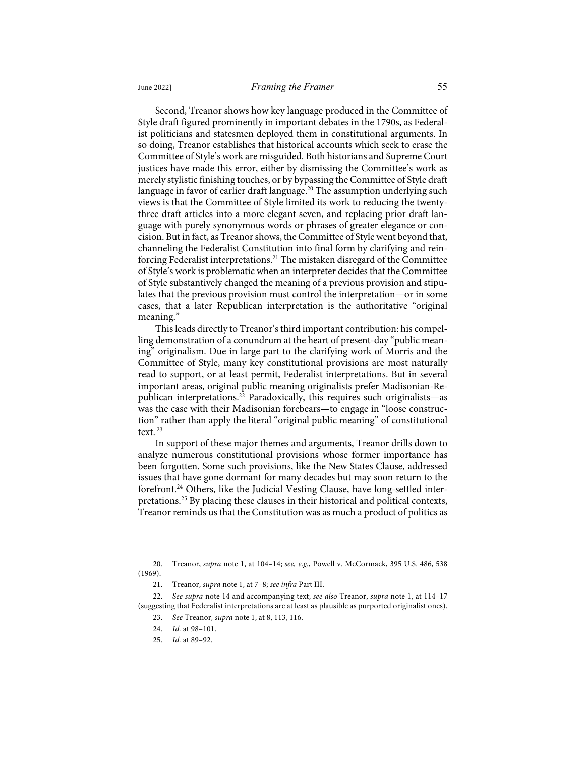Second, Treanor shows how key language produced in the Committee of Style draft figured prominently in important debates in the 1790s, as Federalist politicians and statesmen deployed them in constitutional arguments. In so doing, Treanor establishes that historical accounts which seek to erase the Committee of Style's work are misguided. Both historians and Supreme Court justices have made this error, either by dismissing the Committee's work as merely stylistic finishing touches, or by bypassing the Committee of Style draft language in favor of earlier draft language.<sup>20</sup> The assumption underlying such views is that the Committee of Style limited its work to reducing the twentythree draft articles into a more elegant seven, and replacing prior draft language with purely synonymous words or phrases of greater elegance or concision. But in fact, as Treanor shows, the Committee of Style went beyond that, channeling the Federalist Constitution into final form by clarifying and reinforcing Federalist interpretations.<sup>21</sup> The mistaken disregard of the Committee of Style's work is problematic when an interpreter decides that the Committee of Style substantively changed the meaning of a previous provision and stipulates that the previous provision must control the interpretation—or in some cases, that a later Republican interpretation is the authoritative "original meaning."

This leads directly to Treanor's third important contribution: his compelling demonstration of a conundrum at the heart of present-day "public meaning" originalism. Due in large part to the clarifying work of Morris and the Committee of Style, many key constitutional provisions are most naturally read to support, or at least permit, Federalist interpretations. But in several important areas, original public meaning originalists prefer Madisonian-Republican interpretations.<sup>22</sup> Paradoxically, this requires such originalists—as was the case with their Madisonian forebears—to engage in "loose construction" rather than apply the literal "original public meaning" of constitutional text.  $23$ 

In support of these major themes and arguments, Treanor drills down to analyze numerous constitutional provisions whose former importance has been forgotten. Some such provisions, like the New States Clause, addressed issues that have gone dormant for many decades but may soon return to the forefront.<sup>24</sup> Others, like the Judicial Vesting Clause, have long-settled interpretations.25 By placing these clauses in their historical and political contexts, Treanor reminds us that the Constitution was as much a product of politics as

<sup>20.</sup> Treanor, *supra* note 1, at 104–14; *see, e.g.*, Powell v. McCormack, 395 U.S. 486, 538 (1969).

<sup>21.</sup> Treanor, *supra* note 1, at 7–8; *see infra* Part III.

<sup>22.</sup> *See supra* note 14 and accompanying text; *see also* Treanor, *supra* note 1, at 114–17 (suggesting that Federalist interpretations are at least as plausible as purported originalist ones).

<sup>23.</sup> *See* Treanor*, supra* note 1, at 8, 113, 116.

<sup>24.</sup> *Id.* at 98–101.

<sup>25.</sup> *Id.* at 89–92.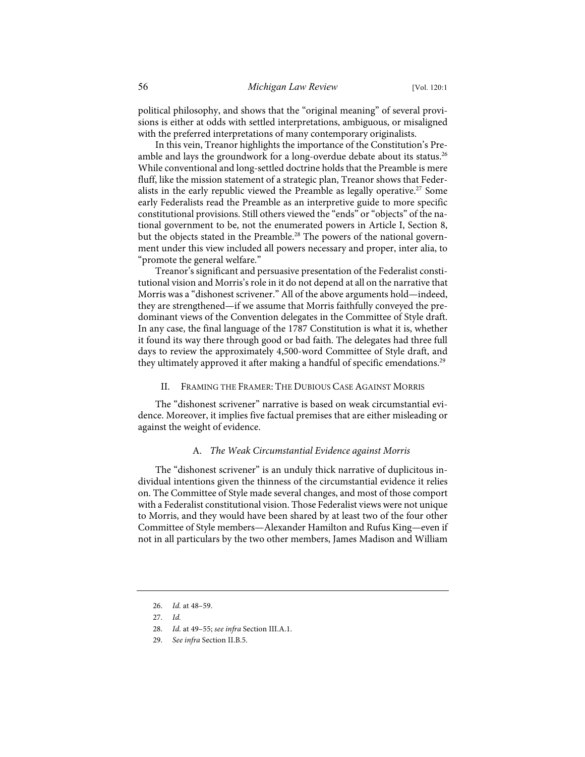political philosophy, and shows that the "original meaning" of several provisions is either at odds with settled interpretations, ambiguous, or misaligned with the preferred interpretations of many contemporary originalists.

In this vein, Treanor highlights the importance of the Constitution's Preamble and lays the groundwork for a long-overdue debate about its status.<sup>26</sup> While conventional and long-settled doctrine holds that the Preamble is mere fluff, like the mission statement of a strategic plan, Treanor shows that Federalists in the early republic viewed the Preamble as legally operative.<sup>27</sup> Some early Federalists read the Preamble as an interpretive guide to more specific constitutional provisions. Still others viewed the "ends" or "objects" of the national government to be, not the enumerated powers in Article I, Section 8, but the objects stated in the Preamble.<sup>28</sup> The powers of the national government under this view included all powers necessary and proper, inter alia, to "promote the general welfare."

Treanor's significant and persuasive presentation of the Federalist constitutional vision and Morris's role in it do not depend at all on the narrative that Morris was a "dishonest scrivener." All of the above arguments hold—indeed, they are strengthened—if we assume that Morris faithfully conveyed the predominant views of the Convention delegates in the Committee of Style draft. In any case, the final language of the 1787 Constitution is what it is, whether it found its way there through good or bad faith. The delegates had three full days to review the approximately 4,500-word Committee of Style draft, and they ultimately approved it after making a handful of specific emendations.<sup>29</sup>

#### II. FRAMING THE FRAMER: THE DUBIOUS CASE AGAINST MORRIS

The "dishonest scrivener" narrative is based on weak circumstantial evidence. Moreover, it implies five factual premises that are either misleading or against the weight of evidence.

# A. *The Weak Circumstantial Evidence against Morris*

The "dishonest scrivener" is an unduly thick narrative of duplicitous individual intentions given the thinness of the circumstantial evidence it relies on. The Committee of Style made several changes, and most of those comport with a Federalist constitutional vision. Those Federalist views were not unique to Morris, and they would have been shared by at least two of the four other Committee of Style members—Alexander Hamilton and Rufus King—even if not in all particulars by the two other members, James Madison and William

29. *See infra* Section II.B.5.

<sup>26.</sup> *Id.* at 48–59.

<sup>27.</sup> *Id.*

<sup>28.</sup> *Id.* at 49–55; *see infra* Section III.A.1.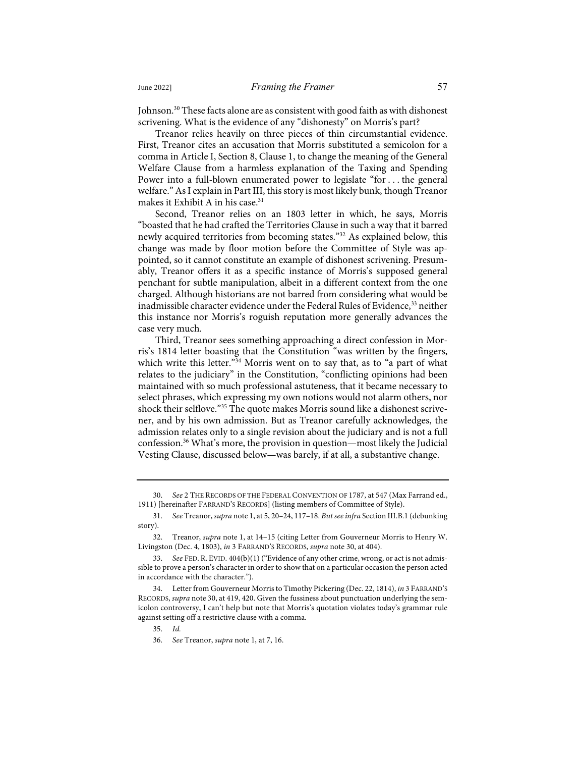Johnson.<sup>30</sup> These facts alone are as consistent with good faith as with dishonest scrivening. What is the evidence of any "dishonesty" on Morris's part?

Treanor relies heavily on three pieces of thin circumstantial evidence. First, Treanor cites an accusation that Morris substituted a semicolon for a comma in Article I, Section 8, Clause 1, to change the meaning of the General Welfare Clause from a harmless explanation of the Taxing and Spending Power into a full-blown enumerated power to legislate "for . . . the general welfare." As I explain in Part III, this story is most likely bunk, though Treanor makes it Exhibit A in his case. $31$ 

Second, Treanor relies on an 1803 letter in which, he says, Morris "boasted that he had crafted the Territories Clause in such a way that it barred newly acquired territories from becoming states."<sup>32</sup> As explained below, this change was made by floor motion before the Committee of Style was appointed, so it cannot constitute an example of dishonest scrivening. Presumably, Treanor offers it as a specific instance of Morris's supposed general penchant for subtle manipulation, albeit in a different context from the one charged. Although historians are not barred from considering what would be inadmissible character evidence under the Federal Rules of Evidence,<sup>33</sup> neither this instance nor Morris's roguish reputation more generally advances the case very much.

Third, Treanor sees something approaching a direct confession in Morris's 1814 letter boasting that the Constitution "was written by the fingers, which write this letter."<sup>34</sup> Morris went on to say that, as to "a part of what relates to the judiciary" in the Constitution, "conflicting opinions had been maintained with so much professional astuteness, that it became necessary to select phrases, which expressing my own notions would not alarm others, nor shock their selflove."35 The quote makes Morris sound like a dishonest scrivener, and by his own admission. But as Treanor carefully acknowledges, the admission relates only to a single revision about the judiciary and is not a full confession.36 What's more, the provision in question—most likely the Judicial Vesting Clause, discussed below—was barely, if at all, a substantive change.

<sup>30.</sup> *See* 2 THE RECORDS OF THE FEDERAL CONVENTION OF 1787, at 547 (Max Farrand ed., 1911) [hereinafter FARRAND'S RECORDS] (listing members of Committee of Style).

<sup>31.</sup> *See* Treanor, *supra* note 1, at 5, 20–24, 117–18. *But see infra* Section III.B.1 (debunking story).

<sup>32.</sup> Treanor, *supra* note 1, at 14–15 (citing Letter from Gouverneur Morris to Henry W. Livingston (Dec. 4, 1803), *in* 3 FARRAND'S RECORDS, *supra* note 30, at 404).

<sup>33.</sup> *See* FED. R. EVID. 404(b)(1) ("Evidence of any other crime, wrong, or act is not admissible to prove a person's character in order to show that on a particular occasion the person acted in accordance with the character.").

<sup>34.</sup> Letter from Gouverneur Morris to Timothy Pickering (Dec. 22, 1814), *in* 3 FARRAND'S RECORDS, *supra* note 30, at 419, 420. Given the fussiness about punctuation underlying the semicolon controversy, I can't help but note that Morris's quotation violates today's grammar rule against setting off a restrictive clause with a comma.

<sup>35.</sup> *Id.*

<sup>36.</sup> *See* Treanor, *supra* note 1, at 7, 16.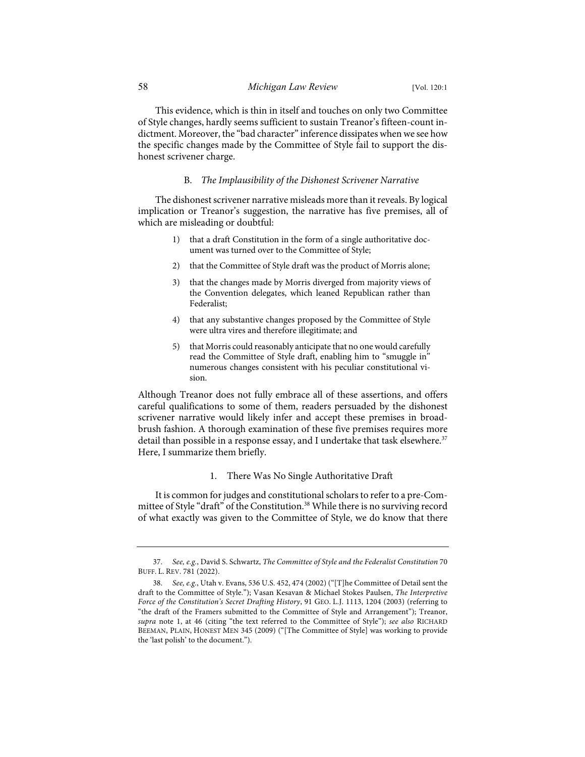This evidence, which is thin in itself and touches on only two Committee of Style changes, hardly seems sufficient to sustain Treanor's fifteen-count indictment. Moreover, the "bad character" inference dissipates when we see how the specific changes made by the Committee of Style fail to support the dishonest scrivener charge.

# B. *The Implausibility of the Dishonest Scrivener Narrative*

The dishonest scrivener narrative misleads more than it reveals. By logical implication or Treanor's suggestion, the narrative has five premises, all of which are misleading or doubtful:

- 1) that a draft Constitution in the form of a single authoritative document was turned over to the Committee of Style;
- 2) that the Committee of Style draft was the product of Morris alone;
- 3) that the changes made by Morris diverged from majority views of the Convention delegates, which leaned Republican rather than Federalist;
- 4) that any substantive changes proposed by the Committee of Style were ultra vires and therefore illegitimate; and
- 5) that Morris could reasonably anticipate that no one would carefully read the Committee of Style draft, enabling him to "smuggle in" numerous changes consistent with his peculiar constitutional vision.

Although Treanor does not fully embrace all of these assertions, and offers careful qualifications to some of them, readers persuaded by the dishonest scrivener narrative would likely infer and accept these premises in broadbrush fashion. A thorough examination of these five premises requires more detail than possible in a response essay, and I undertake that task elsewhere.<sup>37</sup> Here, I summarize them briefly.

# 1. There Was No Single Authoritative Draft

It is common for judges and constitutional scholars to refer to a pre-Committee of Style "draft" of the Constitution.<sup>38</sup> While there is no surviving record of what exactly was given to the Committee of Style, we do know that there

<sup>37.</sup> *See, e.g.*, David S. Schwartz, *The Committee of Style and the Federalist Constitution* 70 BUFF. L. REV. 781 (2022).

<sup>38.</sup> *See, e.g.*, Utah v. Evans, 536 U.S. 452, 474 (2002) ("[T]he Committee of Detail sent the draft to the Committee of Style."); Vasan Kesavan & Michael Stokes Paulsen, *The Interpretive Force of the Constitution's Secret Drafting History*, 91 GEO. L.J. 1113, 1204 (2003) (referring to "the draft of the Framers submitted to the Committee of Style and Arrangement"); Treanor, *supra* note 1, at 46 (citing "the text referred to the Committee of Style"); *see also* RICHARD BEEMAN, PLAIN, HONEST MEN 345 (2009) ("[The Committee of Style] was working to provide the 'last polish' to the document.").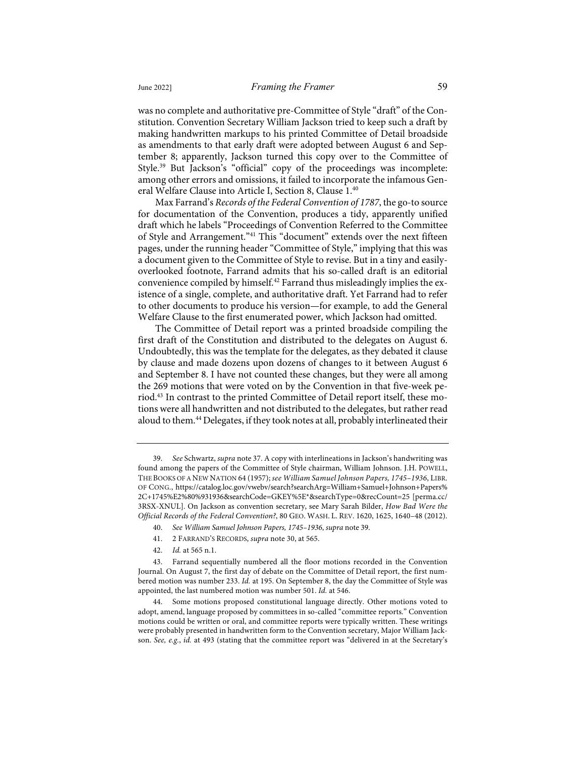was no complete and authoritative pre-Committee of Style "draft" of the Constitution. Convention Secretary William Jackson tried to keep such a draft by making handwritten markups to his printed Committee of Detail broadside as amendments to that early draft were adopted between August 6 and September 8; apparently, Jackson turned this copy over to the Committee of Style.39 But Jackson's "official" copy of the proceedings was incomplete: among other errors and omissions, it failed to incorporate the infamous General Welfare Clause into Article I, Section 8, Clause 1.40

Max Farrand's *Records of the Federal Convention of 1787*, the go-to source for documentation of the Convention, produces a tidy, apparently unified draft which he labels "Proceedings of Convention Referred to the Committee of Style and Arrangement."<sup>41</sup> This "document" extends over the next fifteen pages, under the running header "Committee of Style," implying that this was a document given to the Committee of Style to revise. But in a tiny and easilyoverlooked footnote, Farrand admits that his so-called draft is an editorial convenience compiled by himself.<sup>42</sup> Farrand thus misleadingly implies the existence of a single, complete, and authoritative draft. Yet Farrand had to refer to other documents to produce his version—for example, to add the General Welfare Clause to the first enumerated power, which Jackson had omitted.

The Committee of Detail report was a printed broadside compiling the first draft of the Constitution and distributed to the delegates on August 6. Undoubtedly, this was the template for the delegates, as they debated it clause by clause and made dozens upon dozens of changes to it between August 6 and September 8. I have not counted these changes, but they were all among the 269 motions that were voted on by the Convention in that five-week period.43 In contrast to the printed Committee of Detail report itself, these motions were all handwritten and not distributed to the delegates, but rather read aloud to them.<sup>44</sup> Delegates, if they took notes at all, probably interlineated their

- 41. 2 FARRAND'S RECORDS, *supra* note 30, at 565.
- 42. *Id.* at 565 n.1.

<sup>39.</sup> *See* Schwartz, *supra* note 37. A copy with interlineations in Jackson's handwriting was found among the papers of the Committee of Style chairman, William Johnson. J.H. POWELL, THE BOOKS OF A NEW NATION 64 (1957); *see William Samuel Johnson Papers, 1745–1936*, LIBR. OF CONG., https://catalog.loc.gov/vwebv/search?searchArg=William+Samuel+Johnson+Papers% 2C+1745%E2%80%931936&searchCode=GKEY%5E\*&searchType=0&recCount=25 [perma.cc/ 3RSX-XNUL]. On Jackson as convention secretary, see Mary Sarah Bilder, *How Bad Were the Official Records of the Federal Convention?*, 80 GEO. WASH. L. REV. 1620, 1625, 1640–48 (2012).

<sup>40.</sup> *See William Samuel Johnson Papers, 1745–1936*, *supra* note 39.

<sup>43.</sup> Farrand sequentially numbered all the floor motions recorded in the Convention Journal. On August 7, the first day of debate on the Committee of Detail report, the first numbered motion was number 233. *Id.* at 195. On September 8, the day the Committee of Style was appointed, the last numbered motion was number 501. *Id.* at 546.

<sup>44.</sup> Some motions proposed constitutional language directly. Other motions voted to adopt, amend, language proposed by committees in so-called "committee reports." Convention motions could be written or oral, and committee reports were typically written. These writings were probably presented in handwritten form to the Convention secretary, Major William Jackson. *See, e.g.*, *id.* at 493 (stating that the committee report was "delivered in at the Secretary's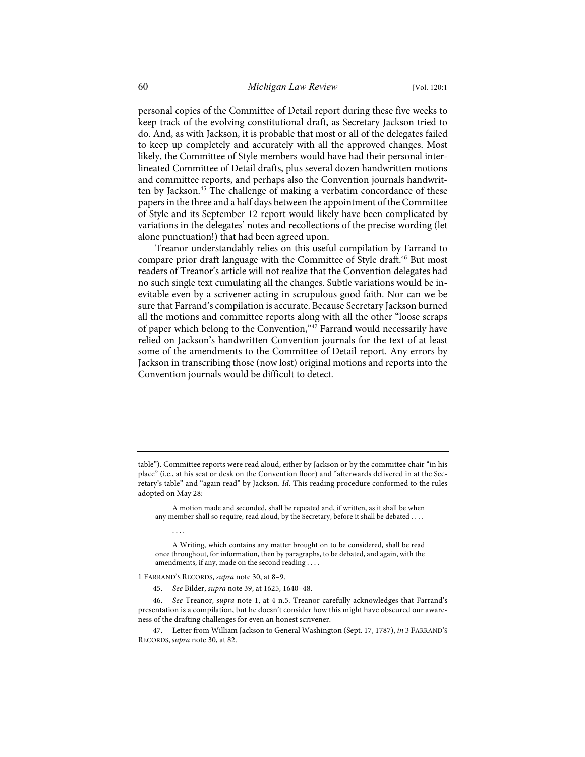personal copies of the Committee of Detail report during these five weeks to keep track of the evolving constitutional draft, as Secretary Jackson tried to do. And, as with Jackson, it is probable that most or all of the delegates failed to keep up completely and accurately with all the approved changes. Most likely, the Committee of Style members would have had their personal interlineated Committee of Detail drafts, plus several dozen handwritten motions and committee reports, and perhaps also the Convention journals handwritten by Jackson.<sup>45</sup> The challenge of making a verbatim concordance of these papers in the three and a half days between the appointment of the Committee of Style and its September 12 report would likely have been complicated by variations in the delegates' notes and recollections of the precise wording (let alone punctuation!) that had been agreed upon.

Treanor understandably relies on this useful compilation by Farrand to compare prior draft language with the Committee of Style draft.<sup>46</sup> But most readers of Treanor's article will not realize that the Convention delegates had no such single text cumulating all the changes. Subtle variations would be inevitable even by a scrivener acting in scrupulous good faith. Nor can we be sure that Farrand's compilation is accurate. Because Secretary Jackson burned all the motions and committee reports along with all the other "loose scraps of paper which belong to the Convention," $47$  Farrand would necessarily have relied on Jackson's handwritten Convention journals for the text of at least some of the amendments to the Committee of Detail report. Any errors by Jackson in transcribing those (now lost) original motions and reports into the Convention journals would be difficult to detect.

A motion made and seconded, shall be repeated and, if written, as it shall be when any member shall so require, read aloud, by the Secretary, before it shall be debated . . . .

1 FARRAND'S RECORDS, *supra* note 30, at 8–9.

. . . .

table"). Committee reports were read aloud, either by Jackson or by the committee chair "in his place" (i.e., at his seat or desk on the Convention floor) and "afterwards delivered in at the Secretary's table" and "again read" by Jackson. *Id.* This reading procedure conformed to the rules adopted on May 28:

A Writing, which contains any matter brought on to be considered, shall be read once throughout, for information, then by paragraphs, to be debated, and again, with the amendments, if any, made on the second reading . . . .

<sup>45.</sup> *See* Bilder, *supra* note 39, at 1625, 1640–48.

<sup>46.</sup> *See* Treanor, *supra* note 1, at 4 n.5. Treanor carefully acknowledges that Farrand's presentation is a compilation, but he doesn't consider how this might have obscured our awareness of the drafting challenges for even an honest scrivener.

<sup>47.</sup> Letter from William Jackson to General Washington (Sept. 17, 1787), *in* 3 FARRAND'S RECORDS, *supra* note 30, at 82.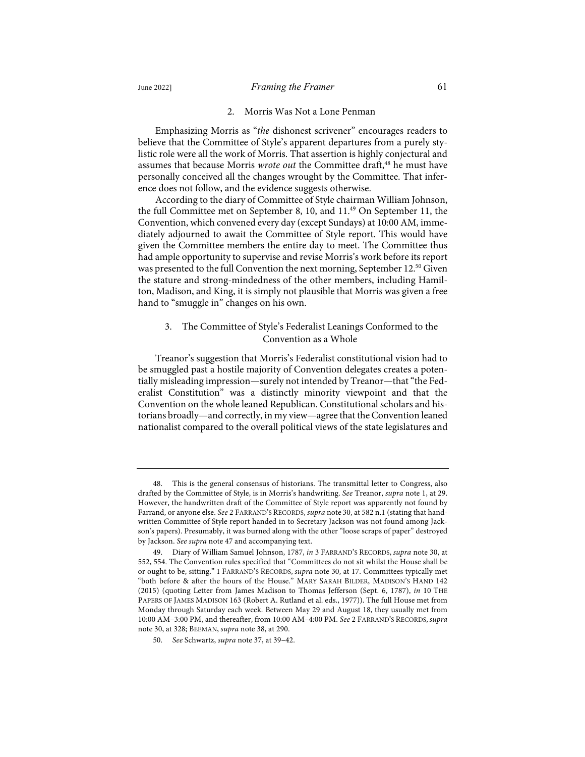# 2. Morris Was Not a Lone Penman

Emphasizing Morris as "*the* dishonest scrivener" encourages readers to believe that the Committee of Style's apparent departures from a purely stylistic role were all the work of Morris. That assertion is highly conjectural and assumes that because Morris *wrote out* the Committee draft,<sup>48</sup> he must have personally conceived all the changes wrought by the Committee. That inference does not follow, and the evidence suggests otherwise.

According to the diary of Committee of Style chairman William Johnson, the full Committee met on September 8, 10, and 11.<sup>49</sup> On September 11, the Convention, which convened every day (except Sundays) at 10:00 AM, immediately adjourned to await the Committee of Style report. This would have given the Committee members the entire day to meet. The Committee thus had ample opportunity to supervise and revise Morris's work before its report was presented to the full Convention the next morning, September 12.<sup>50</sup> Given the stature and strong-mindedness of the other members, including Hamilton, Madison, and King, it is simply not plausible that Morris was given a free hand to "smuggle in" changes on his own.

# 3. The Committee of Style's Federalist Leanings Conformed to the Convention as a Whole

Treanor's suggestion that Morris's Federalist constitutional vision had to be smuggled past a hostile majority of Convention delegates creates a potentially misleading impression—surely not intended by Treanor—that "the Federalist Constitution" was a distinctly minority viewpoint and that the Convention on the whole leaned Republican. Constitutional scholars and historians broadly—and correctly, in my view—agree that the Convention leaned nationalist compared to the overall political views of the state legislatures and

<sup>48.</sup> This is the general consensus of historians. The transmittal letter to Congress, also drafted by the Committee of Style, is in Morris's handwriting. *See* Treanor, *supra* note 1, at 29. However, the handwritten draft of the Committee of Style report was apparently not found by Farrand, or anyone else. *See* 2 FARRAND'S RECORDS, *supra* note 30, at 582 n.1 (stating that handwritten Committee of Style report handed in to Secretary Jackson was not found among Jackson's papers). Presumably, it was burned along with the other "loose scraps of paper" destroyed by Jackson. *See supra* note 47 and accompanying text.

<sup>49.</sup> Diary of William Samuel Johnson, 1787, *in* 3 FARRAND'S RECORDS, *supra* note 30, at 552, 554. The Convention rules specified that "Committees do not sit whilst the House shall be or ought to be, sitting." 1 FARRAND'S RECORDS, *supra* note 30, at 17. Committees typically met "both before & after the hours of the House." MARY SARAH BILDER, MADISON'S HAND 142 (2015) (quoting Letter from James Madison to Thomas Jefferson (Sept. 6, 1787), *in* 10 THE PAPERS OF JAMES MADISON 163 (Robert A. Rutland et al. eds., 1977)). The full House met from Monday through Saturday each week. Between May 29 and August 18, they usually met from 10:00 AM–3:00 PM, and thereafter, from 10:00 AM–4:00 PM. *See* 2 FARRAND'S RECORDS, *supra* note 30, at 328; BEEMAN, *supra* note 38, at 290.

<sup>50.</sup> *See* Schwartz, *supra* note 37, at 39–42.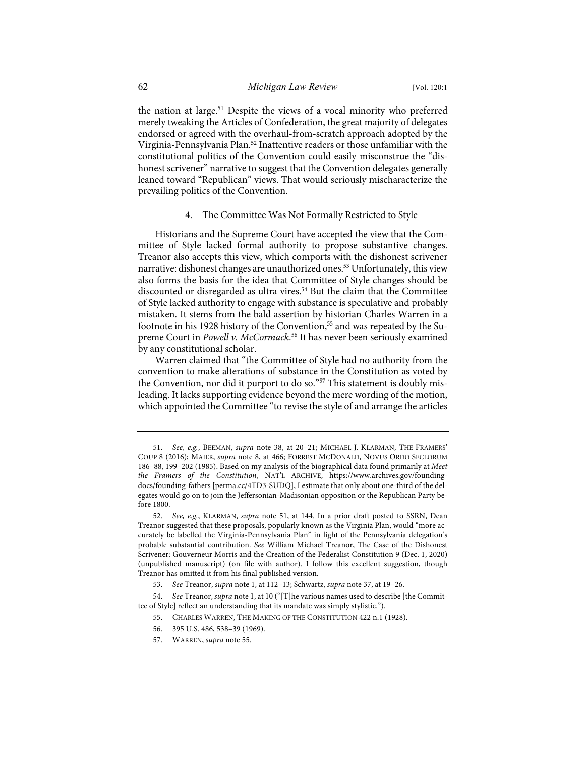the nation at large.<sup>51</sup> Despite the views of a vocal minority who preferred merely tweaking the Articles of Confederation, the great majority of delegates endorsed or agreed with the overhaul-from-scratch approach adopted by the Virginia-Pennsylvania Plan.<sup>52</sup> Inattentive readers or those unfamiliar with the constitutional politics of the Convention could easily misconstrue the "dishonest scrivener" narrative to suggest that the Convention delegates generally leaned toward "Republican" views. That would seriously mischaracterize the prevailing politics of the Convention.

# 4. The Committee Was Not Formally Restricted to Style

Historians and the Supreme Court have accepted the view that the Committee of Style lacked formal authority to propose substantive changes. Treanor also accepts this view, which comports with the dishonest scrivener narrative: dishonest changes are unauthorized ones.<sup>53</sup> Unfortunately, this view also forms the basis for the idea that Committee of Style changes should be discounted or disregarded as ultra vires.<sup>54</sup> But the claim that the Committee of Style lacked authority to engage with substance is speculative and probably mistaken. It stems from the bald assertion by historian Charles Warren in a footnote in his 1928 history of the Convention,<sup>55</sup> and was repeated by the Supreme Court in *Powell v. McCormack*. <sup>56</sup> It has never been seriously examined by any constitutional scholar.

Warren claimed that "the Committee of Style had no authority from the convention to make alterations of substance in the Constitution as voted by the Convention, nor did it purport to do so."<sup>57</sup> This statement is doubly misleading. It lacks supporting evidence beyond the mere wording of the motion, which appointed the Committee "to revise the style of and arrange the articles

<sup>51.</sup> *See, e.g.*, BEEMAN, *supra* note 38, at 20–21; MICHAEL J. KLARMAN, THE FRAMERS' COUP 8 (2016); MAIER, *supra* note 8, at 466; FORREST MCDONALD, NOVUS ORDO SECLORUM 186–88, 199–202 (1985). Based on my analysis of the biographical data found primarily at *Meet the Framers of the Constitution*, NAT'L ARCHIVE, https://www.archives.gov/foundingdocs/founding-fathers [perma.cc/4TD3-SUDQ], I estimate that only about one-third of the delegates would go on to join the Jeffersonian-Madisonian opposition or the Republican Party before 1800.

<sup>52.</sup> *See, e.g.*, KLARMAN, *supra* note 51, at 144. In a prior draft posted to SSRN, Dean Treanor suggested that these proposals, popularly known as the Virginia Plan, would "more accurately be labelled the Virginia-Pennsylvania Plan" in light of the Pennsylvania delegation's probable substantial contribution. *See* William Michael Treanor, The Case of the Dishonest Scrivener: Gouverneur Morris and the Creation of the Federalist Constitution 9 (Dec. 1, 2020) (unpublished manuscript) (on file with author). I follow this excellent suggestion, though Treanor has omitted it from his final published version.

<sup>53.</sup> *See* Treanor, *supra* note 1, at 112–13; Schwartz, *supra* note 37, at 19–26.

<sup>54.</sup> *See* Treanor, *supra* note 1, at 10 ("[T]he various names used to describe [the Committee of Style] reflect an understanding that its mandate was simply stylistic.").

<sup>55.</sup> CHARLES WARREN, THE MAKING OF THE CONSTITUTION 422 n.1 (1928).

<sup>56.</sup> 395 U.S. 486, 538–39 (1969).

<sup>57.</sup> WARREN, *supra* note 55.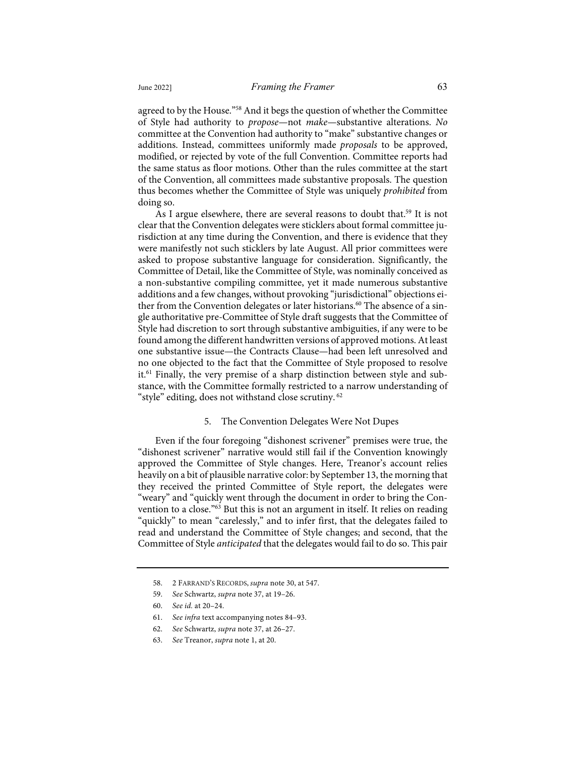agreed to by the House."<sup>58</sup> And it begs the question of whether the Committee of Style had authority to *propose*—not *make*—substantive alterations. *No* committee at the Convention had authority to "make" substantive changes or additions. Instead, committees uniformly made *proposals* to be approved, modified, or rejected by vote of the full Convention. Committee reports had the same status as floor motions. Other than the rules committee at the start of the Convention, all committees made substantive proposals. The question thus becomes whether the Committee of Style was uniquely *prohibited* from doing so.

As I argue elsewhere, there are several reasons to doubt that.<sup>59</sup> It is not clear that the Convention delegates were sticklers about formal committee jurisdiction at any time during the Convention, and there is evidence that they were manifestly not such sticklers by late August. All prior committees were asked to propose substantive language for consideration. Significantly, the Committee of Detail, like the Committee of Style, was nominally conceived as a non-substantive compiling committee, yet it made numerous substantive additions and a few changes, without provoking "jurisdictional" objections either from the Convention delegates or later historians.<sup>60</sup> The absence of a single authoritative pre-Committee of Style draft suggests that the Committee of Style had discretion to sort through substantive ambiguities, if any were to be found among the different handwritten versions of approved motions. At least one substantive issue—the Contracts Clause—had been left unresolved and no one objected to the fact that the Committee of Style proposed to resolve it.<sup>61</sup> Finally, the very premise of a sharp distinction between style and substance, with the Committee formally restricted to a narrow understanding of "style" editing, does not withstand close scrutiny. <sup>62</sup>

#### 5. The Convention Delegates Were Not Dupes

Even if the four foregoing "dishonest scrivener" premises were true, the "dishonest scrivener" narrative would still fail if the Convention knowingly approved the Committee of Style changes. Here, Treanor's account relies heavily on a bit of plausible narrative color: by September 13, the morning that they received the printed Committee of Style report, the delegates were "weary" and "quickly went through the document in order to bring the Convention to a close."<sup>63</sup> But this is not an argument in itself. It relies on reading "quickly" to mean "carelessly," and to infer first, that the delegates failed to read and understand the Committee of Style changes; and second, that the Committee of Style *anticipated* that the delegates would fail to do so. This pair

- 61. *See infra* text accompanying notes 84–93.
- 62. *See* Schwartz, *supra* note 37, at 26–27.
- 63. *See* Treanor, *supra* note 1, at 20.

<sup>58.</sup> 2 FARRAND'S RECORDS, *supra* note 30, at 547.

<sup>59.</sup> *See* Schwartz, *supra* note 37, at 19–26.

<sup>60.</sup> *See id.* at 20–24.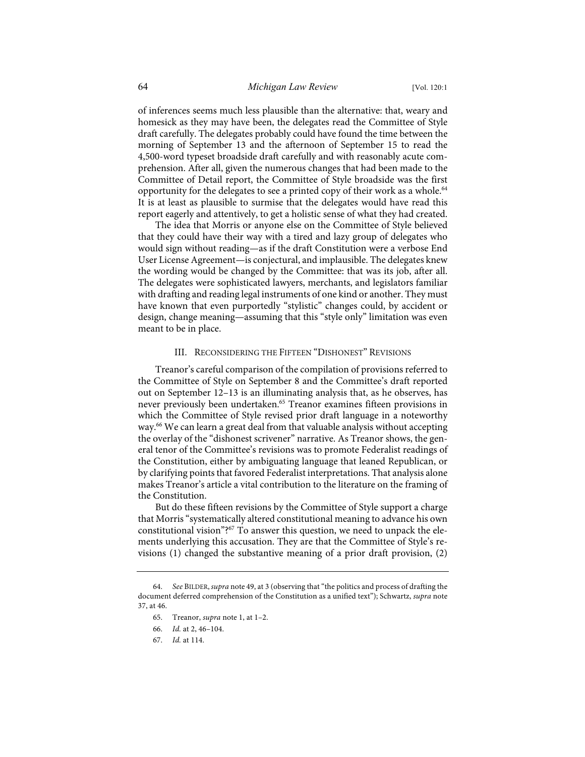of inferences seems much less plausible than the alternative: that, weary and homesick as they may have been, the delegates read the Committee of Style draft carefully. The delegates probably could have found the time between the morning of September 13 and the afternoon of September 15 to read the 4,500-word typeset broadside draft carefully and with reasonably acute comprehension. After all, given the numerous changes that had been made to the Committee of Detail report, the Committee of Style broadside was the first opportunity for the delegates to see a printed copy of their work as a whole.<sup>64</sup> It is at least as plausible to surmise that the delegates would have read this report eagerly and attentively, to get a holistic sense of what they had created.

The idea that Morris or anyone else on the Committee of Style believed that they could have their way with a tired and lazy group of delegates who would sign without reading—as if the draft Constitution were a verbose End User License Agreement—is conjectural, and implausible. The delegates knew the wording would be changed by the Committee: that was its job, after all. The delegates were sophisticated lawyers, merchants, and legislators familiar with drafting and reading legal instruments of one kind or another. They must have known that even purportedly "stylistic" changes could, by accident or design, change meaning—assuming that this "style only" limitation was even meant to be in place.

# III. RECONSIDERING THE FIFTEEN "DISHONEST" REVISIONS

Treanor's careful comparison of the compilation of provisions referred to the Committee of Style on September 8 and the Committee's draft reported out on September 12–13 is an illuminating analysis that, as he observes, has never previously been undertaken.<sup>65</sup> Treanor examines fifteen provisions in which the Committee of Style revised prior draft language in a noteworthy way.<sup>66</sup> We can learn a great deal from that valuable analysis without accepting the overlay of the "dishonest scrivener" narrative. As Treanor shows, the general tenor of the Committee's revisions was to promote Federalist readings of the Constitution, either by ambiguating language that leaned Republican, or by clarifying points that favored Federalist interpretations. That analysis alone makes Treanor's article a vital contribution to the literature on the framing of the Constitution.

But do these fifteen revisions by the Committee of Style support a charge that Morris "systematically altered constitutional meaning to advance his own constitutional vision"?<sup>67</sup> To answer this question, we need to unpack the elements underlying this accusation. They are that the Committee of Style's revisions (1) changed the substantive meaning of a prior draft provision, (2)

<sup>64.</sup> *See* BILDER,*supra* note 49, at 3 (observing that "the politics and process of drafting the document deferred comprehension of the Constitution as a unified text"); Schwartz, *supra* note 37, at 46.

<sup>65.</sup> Treanor, *supra* note 1, at 1–2.

<sup>66.</sup> *Id.* at 2, 46–104.

<sup>67.</sup> *Id.* at 114.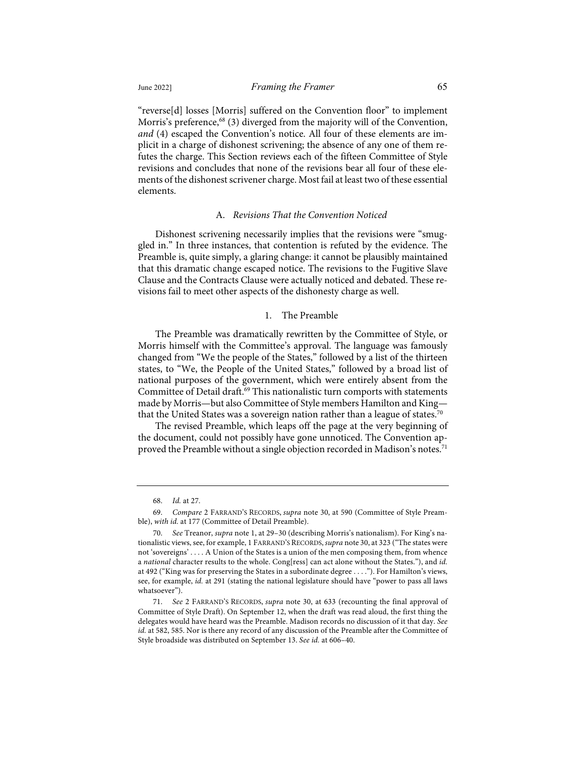plicit in a charge of dishonest scrivening; the absence of any one of them refutes the charge. This Section reviews each of the fifteen Committee of Style revisions and concludes that none of the revisions bear all four of these elements of the dishonest scrivener charge. Most fail at least two of these essential elements.

# A. *Revisions That the Convention Noticed*

Dishonest scrivening necessarily implies that the revisions were "smuggled in." In three instances, that contention is refuted by the evidence. The Preamble is, quite simply, a glaring change: it cannot be plausibly maintained that this dramatic change escaped notice. The revisions to the Fugitive Slave Clause and the Contracts Clause were actually noticed and debated. These revisions fail to meet other aspects of the dishonesty charge as well.

# 1. The Preamble

The Preamble was dramatically rewritten by the Committee of Style, or Morris himself with the Committee's approval. The language was famously changed from "We the people of the States," followed by a list of the thirteen states, to "We, the People of the United States," followed by a broad list of national purposes of the government, which were entirely absent from the Committee of Detail draft. <sup>69</sup> This nationalistic turn comports with statements made by Morris—but also Committee of Style members Hamilton and King that the United States was a sovereign nation rather than a league of states.<sup>70</sup>

The revised Preamble, which leaps off the page at the very beginning of the document, could not possibly have gone unnoticed. The Convention approved the Preamble without a single objection recorded in Madison's notes.<sup>71</sup>

<sup>68.</sup> *Id.* at 27.

<sup>69.</sup> *Compare* 2 FARRAND'S RECORDS, *supra* note 30, at 590 (Committee of Style Preamble), *with id.* at 177 (Committee of Detail Preamble).

<sup>70.</sup> *See* Treanor, *supra* note 1, at 29–30 (describing Morris's nationalism). For King's nationalistic views, see, for example, 1 FARRAND'S RECORDS,*supra* note 30, at 323 ("The states were not 'sovereigns' . . . . A Union of the States is a union of the men composing them, from whence a *national* character results to the whole. Cong[ress] can act alone without the States."), and *id.* at 492 ("King was for preserving the States in a subordinate degree . . . ."). For Hamilton's views, see, for example, *id.* at 291 (stating the national legislature should have "power to pass all laws whatsoever").

<sup>71.</sup> *See* 2 FARRAND'S RECORDS, *supra* note 30, at 633 (recounting the final approval of Committee of Style Draft). On September 12, when the draft was read aloud, the first thing the delegates would have heard was the Preamble. Madison records no discussion of it that day. *See id.* at 582, 585. Nor is there any record of any discussion of the Preamble after the Committee of Style broadside was distributed on September 13. *See id.* at 606–40.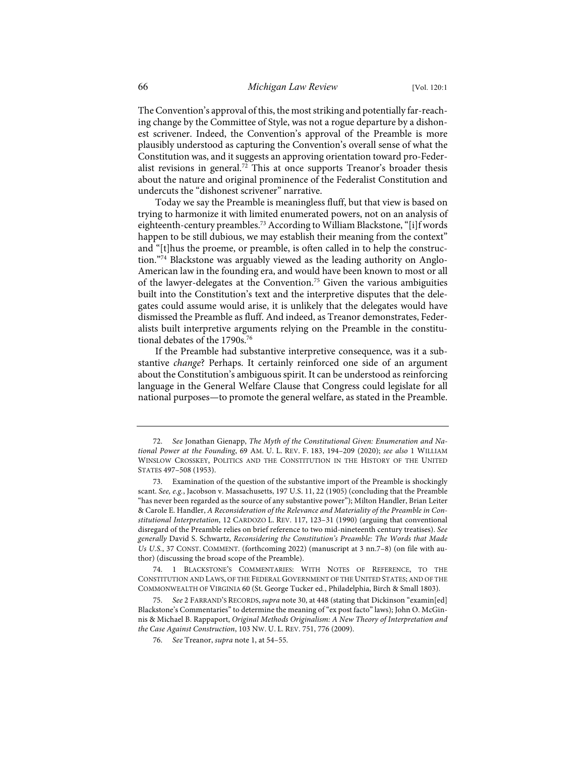The Convention's approval of this, the most striking and potentially far-reaching change by the Committee of Style, was not a rogue departure by a dishonest scrivener. Indeed, the Convention's approval of the Preamble is more plausibly understood as capturing the Convention's overall sense of what the Constitution was, and it suggests an approving orientation toward pro-Federalist revisions in general.<sup>72</sup> This at once supports Treanor's broader thesis about the nature and original prominence of the Federalist Constitution and undercuts the "dishonest scrivener" narrative.

Today we say the Preamble is meaningless fluff, but that view is based on trying to harmonize it with limited enumerated powers, not on an analysis of eighteenth-century preambles.<sup>73</sup> According to William Blackstone, "[i]f words happen to be still dubious, we may establish their meaning from the context" and "[t]hus the proeme, or preamble, is often called in to help the construction."<sup>74</sup> Blackstone was arguably viewed as the leading authority on Anglo-American law in the founding era, and would have been known to most or all of the lawyer-delegates at the Convention.<sup>75</sup> Given the various ambiguities built into the Constitution's text and the interpretive disputes that the delegates could assume would arise, it is unlikely that the delegates would have dismissed the Preamble as fluff. And indeed, as Treanor demonstrates, Federalists built interpretive arguments relying on the Preamble in the constitutional debates of the 1790s.<sup>76</sup>

If the Preamble had substantive interpretive consequence, was it a substantive *change*? Perhaps. It certainly reinforced one side of an argument about the Constitution's ambiguous spirit. It can be understood as reinforcing language in the General Welfare Clause that Congress could legislate for all national purposes—to promote the general welfare, as stated in the Preamble.

<sup>72.</sup> *See* Jonathan Gienapp, *The Myth of the Constitutional Given: Enumeration and National Power at the Founding*, 69 AM. U. L. REV. F. 183, 194–209 (2020); *see also* 1 WILLIAM WINSLOW CROSSKEY, POLITICS AND THE CONSTITUTION IN THE HISTORY OF THE UNITED STATES 497–508 (1953).

<sup>73.</sup> Examination of the question of the substantive import of the Preamble is shockingly scant. *See, e.g.*, Jacobson v. Massachusetts, 197 U.S. 11, 22 (1905) (concluding that the Preamble "has never been regarded as the source of any substantive power"); Milton Handler, Brian Leiter & Carole E. Handler, *A Reconsideration of the Relevance and Materiality of the Preamble in Constitutional Interpretation*, 12 CARDOZO L. REV. 117, 123–31 (1990) (arguing that conventional disregard of the Preamble relies on brief reference to two mid-nineteenth century treatises). *See generally* David S. Schwartz, *Reconsidering the Constitution's Preamble: The Words that Made Us U.S.*, 37 CONST. COMMENT. (forthcoming 2022) (manuscript at 3 nn.7–8) (on file with author) (discussing the broad scope of the Preamble).

<sup>1</sup> BLACKSTONE'S COMMENTARIES: WITH NOTES OF REFERENCE, TO THE CONSTITUTION AND LAWS, OF THE FEDERAL GOVERNMENT OF THE UNITED STATES; AND OF THE COMMONWEALTH OF VIRGINIA 60 (St. George Tucker ed., Philadelphia, Birch & Small 1803).

<sup>75.</sup> *See* 2 FARRAND'S RECORDS, *supra* note 30, at 448 (stating that Dickinson "examin[ed] Blackstone's Commentaries" to determine the meaning of "ex post facto" laws); John O. McGinnis & Michael B. Rappaport, *Original Methods Originalism: A New Theory of Interpretation and the Case Against Construction*, 103 NW. U. L. REV. 751, 776 (2009).

<sup>76.</sup> *See* Treanor, *supra* note 1, at 54–55.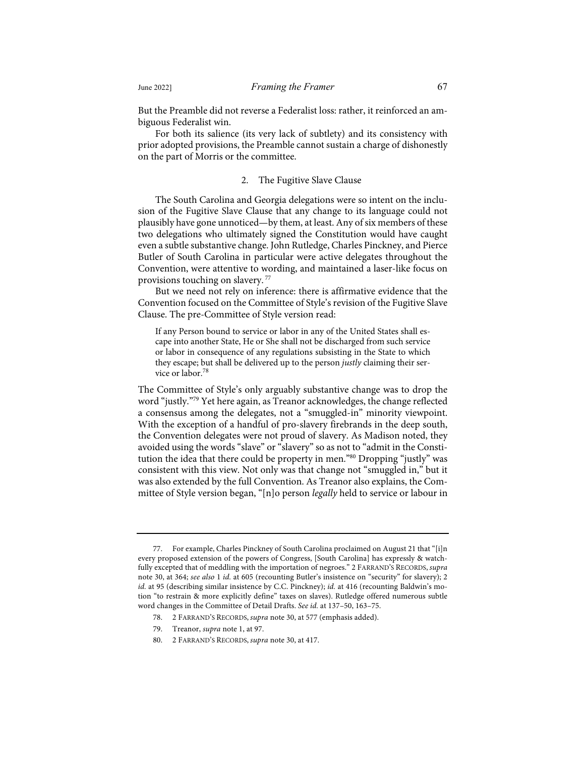But the Preamble did not reverse a Federalist loss: rather, it reinforced an ambiguous Federalist win.

For both its salience (its very lack of subtlety) and its consistency with prior adopted provisions, the Preamble cannot sustain a charge of dishonestly on the part of Morris or the committee.

#### 2. The Fugitive Slave Clause

The South Carolina and Georgia delegations were so intent on the inclusion of the Fugitive Slave Clause that any change to its language could not plausibly have gone unnoticed—by them, at least. Any of six members of these two delegations who ultimately signed the Constitution would have caught even a subtle substantive change. John Rutledge, Charles Pinckney, and Pierce Butler of South Carolina in particular were active delegates throughout the Convention, were attentive to wording, and maintained a laser-like focus on provisions touching on slavery. <sup>77</sup>

But we need not rely on inference: there is affirmative evidence that the Convention focused on the Committee of Style's revision of the Fugitive Slave Clause. The pre-Committee of Style version read:

If any Person bound to service or labor in any of the United States shall escape into another State, He or She shall not be discharged from such service or labor in consequence of any regulations subsisting in the State to which they escape; but shall be delivered up to the person *justly* claiming their service or labor.<sup>78</sup>

The Committee of Style's only arguably substantive change was to drop the word "justly."79 Yet here again, as Treanor acknowledges, the change reflected a consensus among the delegates, not a "smuggled-in" minority viewpoint. With the exception of a handful of pro-slavery firebrands in the deep south, the Convention delegates were not proud of slavery. As Madison noted, they avoided using the words "slave" or "slavery" so as not to "admit in the Constitution the idea that there could be property in men."80 Dropping "justly" was consistent with this view. Not only was that change not "smuggled in," but it was also extended by the full Convention. As Treanor also explains, the Committee of Style version began, "[n]o person *legally* held to service or labour in

<sup>77.</sup> For example, Charles Pinckney of South Carolina proclaimed on August 21 that "[i]n every proposed extension of the powers of Congress, [South Carolina] has expressly & watchfully excepted that of meddling with the importation of negroes." 2 FARRAND'S RECORDS, *supra* note 30, at 364; *see also* 1 *id.* at 605 (recounting Butler's insistence on "security" for slavery); 2 *id.* at 95 (describing similar insistence by C.C. Pinckney); *id.* at 416 (recounting Baldwin's motion "to restrain & more explicitly define" taxes on slaves). Rutledge offered numerous subtle word changes in the Committee of Detail Drafts. *See id.* at 137–50, 163–75.

<sup>78.</sup> 2 FARRAND'S RECORDS, *supra* note 30, at 577 (emphasis added).

<sup>79.</sup> Treanor, *supra* note 1, at 97.

<sup>80.</sup> 2 FARRAND'S RECORDS, *supra* note 30, at 417.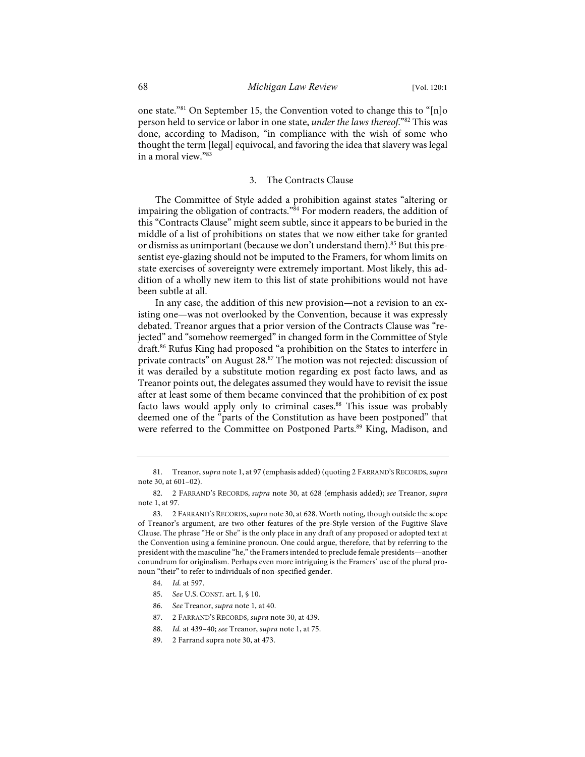one state."81 On September 15, the Convention voted to change this to "[n]o person held to service or labor in one state, *under the laws thereof*."82 This was done, according to Madison, "in compliance with the wish of some who thought the term [legal] equivocal, and favoring the idea that slavery was legal in a moral view."83

# 3. The Contracts Clause

The Committee of Style added a prohibition against states "altering or impairing the obligation of contracts."84 For modern readers, the addition of this "Contracts Clause" might seem subtle, since it appears to be buried in the middle of a list of prohibitions on states that we now either take for granted or dismiss as unimportant (because we don't understand them).<sup>85</sup> But this presentist eye-glazing should not be imputed to the Framers, for whom limits on state exercises of sovereignty were extremely important. Most likely, this addition of a wholly new item to this list of state prohibitions would not have been subtle at all.

In any case, the addition of this new provision—not a revision to an existing one—was not overlooked by the Convention, because it was expressly debated. Treanor argues that a prior version of the Contracts Clause was "rejected" and "somehow reemerged" in changed form in the Committee of Style draft.86 Rufus King had proposed "a prohibition on the States to interfere in private contracts" on August 28.<sup>87</sup> The motion was not rejected: discussion of it was derailed by a substitute motion regarding ex post facto laws, and as Treanor points out, the delegates assumed they would have to revisit the issue after at least some of them became convinced that the prohibition of ex post facto laws would apply only to criminal cases.<sup>88</sup> This issue was probably deemed one of the "parts of the Constitution as have been postponed" that were referred to the Committee on Postponed Parts. <sup>89</sup> King, Madison, and

- 87. 2 FARRAND'S RECORDS, *supra* note 30, at 439.
- 88. *Id.* at 439–40; *see* Treanor, *supra* note 1, at 75.
- 89. 2 Farrand supra note 30, at 473.

<sup>81.</sup> Treanor, *supra* note 1, at 97 (emphasis added) (quoting 2 FARRAND'S RECORDS, *supra* note 30, at 601–02).

<sup>82.</sup> 2 FARRAND'S RECORDS, *supra* note 30, at 628 (emphasis added); *see* Treanor, *supra* note 1, at 97.

<sup>83.</sup> 2 FARRAND'S RECORDS,*supra* note 30, at 628. Worth noting, though outside the scope of Treanor's argument, are two other features of the pre-Style version of the Fugitive Slave Clause. The phrase "He or She" is the only place in any draft of any proposed or adopted text at the Convention using a feminine pronoun. One could argue, therefore, that by referring to the president with the masculine "he," the Framers intended to preclude female presidents—another conundrum for originalism. Perhaps even more intriguing is the Framers' use of the plural pronoun "their" to refer to individuals of non-specified gender.

<sup>84.</sup> *Id.* at 597.

<sup>85.</sup> *See* U.S. CONST. art. I, § 10.

<sup>86.</sup> *See* Treanor, *supra* note 1, at 40.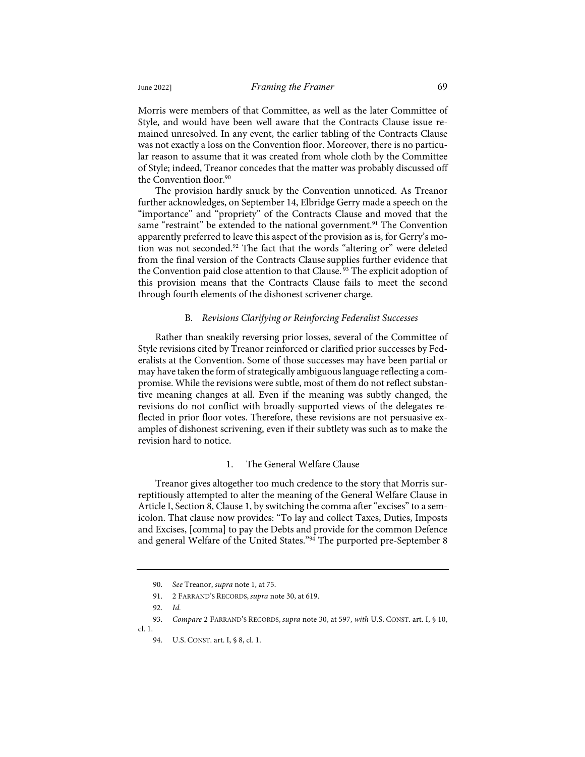Morris were members of that Committee, as well as the later Committee of Style, and would have been well aware that the Contracts Clause issue remained unresolved. In any event, the earlier tabling of the Contracts Clause was not exactly a loss on the Convention floor. Moreover, there is no particular reason to assume that it was created from whole cloth by the Committee of Style; indeed, Treanor concedes that the matter was probably discussed off the Convention floor.<sup>90</sup>

The provision hardly snuck by the Convention unnoticed. As Treanor further acknowledges, on September 14, Elbridge Gerry made a speech on the "importance" and "propriety" of the Contracts Clause and moved that the same "restraint" be extended to the national government.<sup>91</sup> The Convention apparently preferred to leave this aspect of the provision as is, for Gerry's motion was not seconded.<sup>92</sup> The fact that the words "altering or" were deleted from the final version of the Contracts Clause supplies further evidence that the Convention paid close attention to that Clause.<sup>93</sup> The explicit adoption of this provision means that the Contracts Clause fails to meet the second through fourth elements of the dishonest scrivener charge.

# B. *Revisions Clarifying or Reinforcing Federalist Successes*

Rather than sneakily reversing prior losses, several of the Committee of Style revisions cited by Treanor reinforced or clarified prior successes by Federalists at the Convention. Some of those successes may have been partial or may have taken the form of strategically ambiguous language reflecting a compromise. While the revisions were subtle, most of them do not reflect substantive meaning changes at all. Even if the meaning was subtly changed, the revisions do not conflict with broadly-supported views of the delegates reflected in prior floor votes. Therefore, these revisions are not persuasive examples of dishonest scrivening, even if their subtlety was such as to make the revision hard to notice.

# 1. The General Welfare Clause

Treanor gives altogether too much credence to the story that Morris surreptitiously attempted to alter the meaning of the General Welfare Clause in Article I, Section 8, Clause 1, by switching the comma after "excises" to a semicolon. That clause now provides: "To lay and collect Taxes, Duties, Imposts and Excises, [comma] to pay the Debts and provide for the common Defence and general Welfare of the United States."<sup>94</sup> The purported pre-September 8

<sup>90.</sup> *See* Treanor, *supra* note 1, at 75.

<sup>91.</sup> 2 FARRAND'S RECORDS, *supra* note 30, at 619.

<sup>92.</sup> *Id.*

<sup>93.</sup> *Compare* 2 FARRAND'S RECORDS, *supra* note 30, at 597, *with* U.S. CONST. art. I, § 10, cl. 1.

<sup>94.</sup> U.S. CONST. art. I, § 8, cl. 1.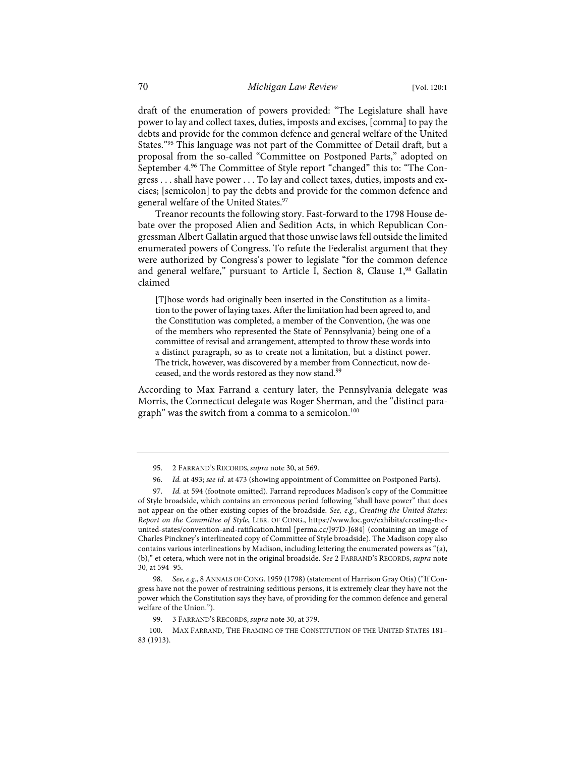draft of the enumeration of powers provided: "The Legislature shall have power to lay and collect taxes, duties, imposts and excises, [comma] to pay the debts and provide for the common defence and general welfare of the United States."<sup>95</sup> This language was not part of the Committee of Detail draft, but a proposal from the so-called "Committee on Postponed Parts," adopted on September 4.<sup>96</sup> The Committee of Style report "changed" this to: "The Congress . . . shall have power . . . To lay and collect taxes, duties, imposts and excises; [semicolon] to pay the debts and provide for the common defence and general welfare of the United States.<sup>97</sup>

Treanor recounts the following story. Fast-forward to the 1798 House debate over the proposed Alien and Sedition Acts, in which Republican Congressman Albert Gallatin argued that those unwise laws fell outside the limited enumerated powers of Congress. To refute the Federalist argument that they were authorized by Congress's power to legislate "for the common defence and general welfare," pursuant to Article I, Section 8, Clause 1,98 Gallatin claimed

[T]hose words had originally been inserted in the Constitution as a limitation to the power of laying taxes. After the limitation had been agreed to, and the Constitution was completed, a member of the Convention, (he was one of the members who represented the State of Pennsylvania) being one of a committee of revisal and arrangement, attempted to throw these words into a distinct paragraph, so as to create not a limitation, but a distinct power. The trick, however, was discovered by a member from Connecticut, now deceased, and the words restored as they now stand.<sup>99</sup>

According to Max Farrand a century later, the Pennsylvania delegate was Morris, the Connecticut delegate was Roger Sherman, and the "distinct paragraph" was the switch from a comma to a semicolon.<sup>100</sup>

97. *Id.* at 594 (footnote omitted). Farrand reproduces Madison's copy of the Committee of Style broadside, which contains an erroneous period following "shall have power" that does not appear on the other existing copies of the broadside. *See, e.g.*, *Creating the United States: Report on the Committee of Style*, LIBR. OF CONG., https://www.loc.gov/exhibits/creating-theunited-states/convention-and-ratification.html [perma.cc/J97D-J684] (containing an image of Charles Pinckney's interlineated copy of Committee of Style broadside). The Madison copy also contains various interlineations by Madison, including lettering the enumerated powers as "(a), (b)," et cetera, which were not in the original broadside. *See* 2 FARRAND'S RECORDS, *supra* note 30, at 594–95.

98. *See, e.g.*, 8 ANNALS OF CONG. 1959 (1798) (statement of Harrison Gray Otis) ("If Congress have not the power of restraining seditious persons, it is extremely clear they have not the power which the Constitution says they have, of providing for the common defence and general welfare of the Union.").

99. 3 FARRAND'S RECORDS, *supra* note 30, at 379.

<sup>95.</sup> 2 FARRAND'S RECORDS, *supra* note 30, at 569.

<sup>96.</sup> *Id.* at 493; *see id.* at 473 (showing appointment of Committee on Postponed Parts).

<sup>100.</sup> MAX FARRAND, THE FRAMING OF THE CONSTITUTION OF THE UNITED STATES 181– 83 (1913).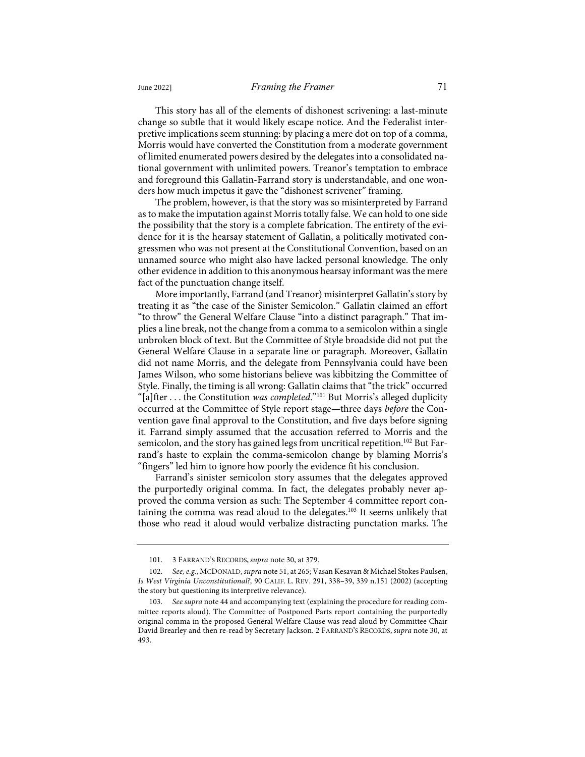This story has all of the elements of dishonest scrivening: a last-minute change so subtle that it would likely escape notice. And the Federalist interpretive implications seem stunning: by placing a mere dot on top of a comma, Morris would have converted the Constitution from a moderate government of limited enumerated powers desired by the delegates into a consolidated national government with unlimited powers. Treanor's temptation to embrace and foreground this Gallatin-Farrand story is understandable, and one wonders how much impetus it gave the "dishonest scrivener" framing.

The problem, however, is that the story was so misinterpreted by Farrand as to make the imputation against Morris totally false. We can hold to one side the possibility that the story is a complete fabrication. The entirety of the evidence for it is the hearsay statement of Gallatin, a politically motivated congressmen who was not present at the Constitutional Convention, based on an unnamed source who might also have lacked personal knowledge. The only other evidence in addition to this anonymous hearsay informant was the mere fact of the punctuation change itself.

More importantly, Farrand (and Treanor) misinterpret Gallatin's story by treating it as "the case of the Sinister Semicolon." Gallatin claimed an effort "to throw" the General Welfare Clause "into a distinct paragraph." That implies a line break, not the change from a comma to a semicolon within a single unbroken block of text. But the Committee of Style broadside did not put the General Welfare Clause in a separate line or paragraph. Moreover, Gallatin did not name Morris, and the delegate from Pennsylvania could have been James Wilson, who some historians believe was kibbitzing the Committee of Style. Finally, the timing is all wrong: Gallatin claims that "the trick" occurred "[a]fter . . . the Constitution *was completed*."101 But Morris's alleged duplicity occurred at the Committee of Style report stage—three days *before* the Convention gave final approval to the Constitution, and five days before signing it. Farrand simply assumed that the accusation referred to Morris and the semicolon, and the story has gained legs from uncritical repetition.<sup>102</sup> But Farrand's haste to explain the comma-semicolon change by blaming Morris's "fingers" led him to ignore how poorly the evidence fit his conclusion.

Farrand's sinister semicolon story assumes that the delegates approved the purportedly original comma. In fact, the delegates probably never approved the comma version as such: The September 4 committee report containing the comma was read aloud to the delegates.<sup>103</sup> It seems unlikely that those who read it aloud would verbalize distracting punctation marks. The

<sup>101.</sup> 3 FARRAND'S RECORDS, *supra* note 30, at 379.

<sup>102.</sup> *See, e.g.*, MCDONALD, *supra* note 51, at 265; Vasan Kesavan & Michael Stokes Paulsen, *Is West Virginia Unconstitutional?,* 90 CALIF. L. REV. 291, 338–39, 339 n.151 (2002) (accepting the story but questioning its interpretive relevance).

<sup>103.</sup> *See supra* note 44 and accompanying text (explaining the procedure for reading committee reports aloud). The Committee of Postponed Parts report containing the purportedly original comma in the proposed General Welfare Clause was read aloud by Committee Chair David Brearley and then re-read by Secretary Jackson. 2 FARRAND'S RECORDS, *supra* note 30, at 493.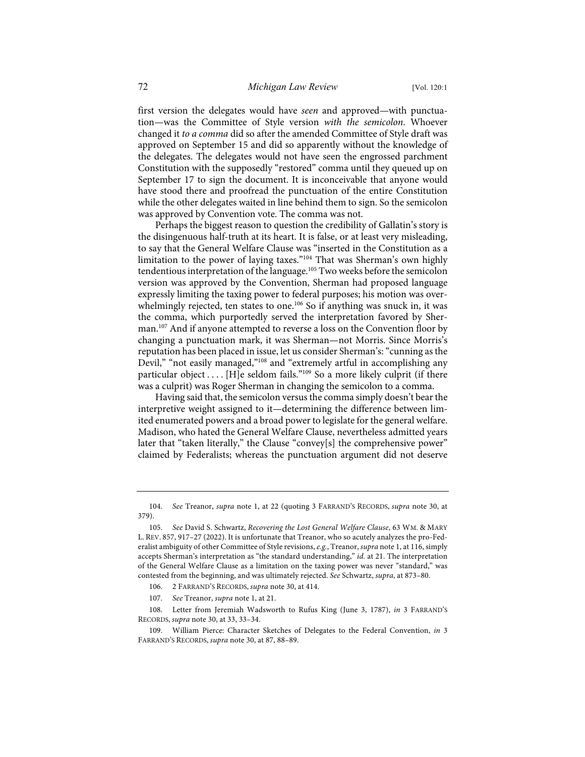first version the delegates would have *seen* and approved—with punctuation—was the Committee of Style version *with the semicolon*. Whoever changed it *to a comma* did so after the amended Committee of Style draft was approved on September 15 and did so apparently without the knowledge of the delegates. The delegates would not have seen the engrossed parchment Constitution with the supposedly "restored" comma until they queued up on September 17 to sign the document. It is inconceivable that anyone would have stood there and proofread the punctuation of the entire Constitution while the other delegates waited in line behind them to sign. So the semicolon was approved by Convention vote. The comma was not.

Perhaps the biggest reason to question the credibility of Gallatin's story is the disingenuous half-truth at its heart. It is false, or at least very misleading, to say that the General Welfare Clause was "inserted in the Constitution as a limitation to the power of laying taxes."<sup>104</sup> That was Sherman's own highly tendentious interpretation of the language.<sup>105</sup> Two weeks before the semicolon version was approved by the Convention, Sherman had proposed language expressly limiting the taxing power to federal purposes; his motion was overwhelmingly rejected, ten states to one.<sup>106</sup> So if anything was snuck in, it was the comma, which purportedly served the interpretation favored by Sherman.<sup>107</sup> And if anyone attempted to reverse a loss on the Convention floor by changing a punctuation mark, it was Sherman—not Morris. Since Morris's reputation has been placed in issue, let us consider Sherman's: "cunning as the Devil," "not easily managed,"<sup>108</sup> and "extremely artful in accomplishing any particular object . . . . [H]e seldom fails."<sup>109</sup> So a more likely culprit (if there was a culprit) was Roger Sherman in changing the semicolon to a comma.

Having said that, the semicolon versus the comma simply doesn't bear the interpretive weight assigned to it—determining the difference between limited enumerated powers and a broad power to legislate for the general welfare. Madison, who hated the General Welfare Clause, nevertheless admitted years later that "taken literally," the Clause "convey[s] the comprehensive power" claimed by Federalists; whereas the punctuation argument did not deserve

<sup>104.</sup> *See* Treanor, *supra* note 1, at 22 (quoting 3 FARRAND'S RECORDS, *supra* note 30, at 379).

<sup>105.</sup> *See* David S. Schwartz, *Recovering the Lost General Welfare Clause*, 63 WM. & MARY L. REV. 857, 917–27 (2022). It is unfortunate that Treanor, who so acutely analyzes the pro-Federalist ambiguity of other Committee of Style revisions, *e.g.*, Treanor, *supra* note 1, at 116, simply accepts Sherman's interpretation as "the standard understanding," *id.* at 21. The interpretation of the General Welfare Clause as a limitation on the taxing power was never "standard," was contested from the beginning, and was ultimately rejected. *See* Schwartz, *supra*, at 873–80.

<sup>106.</sup> 2 FARRAND'S RECORDS, *supra* note 30, at 414.

<sup>107.</sup> *See* Treanor, *supra* note 1, at 21.

<sup>108.</sup> Letter from Jeremiah Wadsworth to Rufus King (June 3, 1787), *in* 3 FARRAND'S RECORDS, *supra* note 30, at 33, 33–34.

William Pierce: Character Sketches of Delegates to the Federal Convention, *in* 3 FARRAND'S RECORDS, *supra* note 30, at 87, 88–89.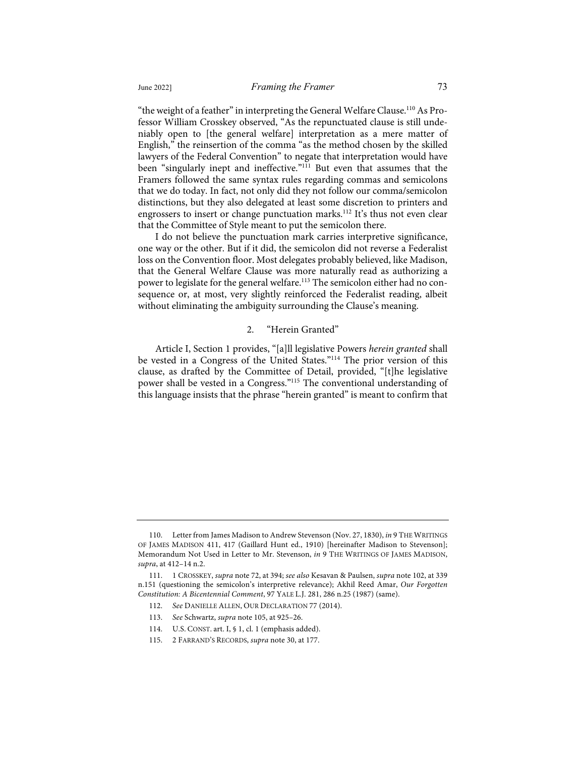"the weight of a feather" in interpreting the General Welfare Clause.110 As Professor William Crosskey observed, "As the repunctuated clause is still undeniably open to [the general welfare] interpretation as a mere matter of English," the reinsertion of the comma "as the method chosen by the skilled lawyers of the Federal Convention" to negate that interpretation would have been "singularly inept and ineffective."<sup>111</sup> But even that assumes that the Framers followed the same syntax rules regarding commas and semicolons that we do today. In fact, not only did they not follow our comma/semicolon distinctions, but they also delegated at least some discretion to printers and engrossers to insert or change punctuation marks.<sup>112</sup> It's thus not even clear that the Committee of Style meant to put the semicolon there.

I do not believe the punctuation mark carries interpretive significance, one way or the other. But if it did, the semicolon did not reverse a Federalist loss on the Convention floor. Most delegates probably believed, like Madison, that the General Welfare Clause was more naturally read as authorizing a power to legislate for the general welfare.<sup>113</sup> The semicolon either had no consequence or, at most, very slightly reinforced the Federalist reading, albeit without eliminating the ambiguity surrounding the Clause's meaning.

#### 2. "Herein Granted"

Article I, Section 1 provides, "[a]ll legislative Powers *herein granted* shall be vested in a Congress of the United States."114 The prior version of this clause, as drafted by the Committee of Detail, provided, "[t]he legislative power shall be vested in a Congress."115 The conventional understanding of this language insists that the phrase "herein granted" is meant to confirm that

<sup>110.</sup> Letter from James Madison to Andrew Stevenson (Nov. 27, 1830), *in* 9 THE WRITINGS OF JAMES MADISON 411, 417 (Gaillard Hunt ed., 1910) [hereinafter Madison to Stevenson]; Memorandum Not Used in Letter to Mr. Stevenson, *in* 9 THE WRITINGS OF JAMES MADISON, *supra*, at 412–14 n.2.

<sup>111.</sup> 1 CROSSKEY, *supra* note 72, at 394; *see also* Kesavan & Paulsen, *supra* note 102, at 339 n.151 (questioning the semicolon's interpretive relevance); Akhil Reed Amar, *Our Forgotten Constitution: A Bicentennial Comment*, 97 YALE L.J. 281, 286 n.25 (1987) (same).

<sup>112.</sup> *See* DANIELLE ALLEN, OUR DECLARATION 77 (2014).

<sup>113.</sup> *See* Schwartz, *supra* note 105, at 925–26.

<sup>114.</sup> U.S. CONST. art. I, § 1, cl. 1 (emphasis added).

<sup>115.</sup> 2 FARRAND'S RECORDS, *supra* note 30, at 177.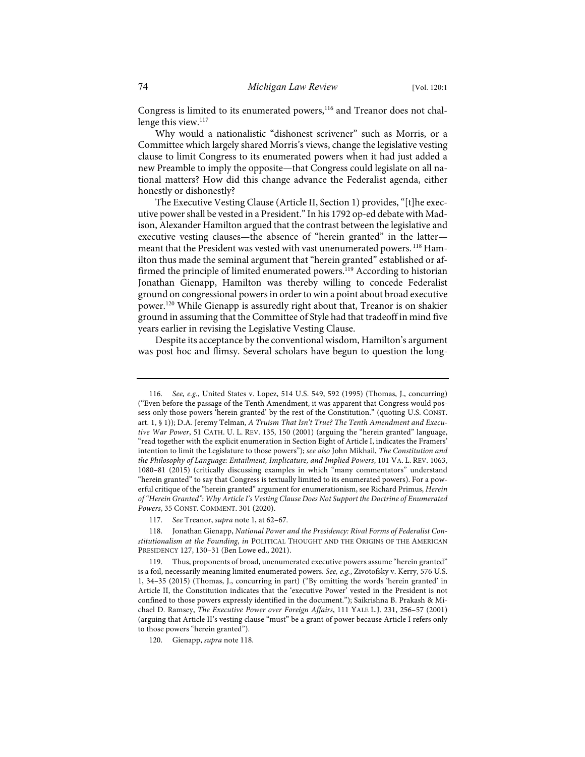Congress is limited to its enumerated powers,<sup>116</sup> and Treanor does not challenge this view.<sup>117</sup>

Why would a nationalistic "dishonest scrivener" such as Morris, or a Committee which largely shared Morris's views, change the legislative vesting clause to limit Congress to its enumerated powers when it had just added a new Preamble to imply the opposite—that Congress could legislate on all national matters? How did this change advance the Federalist agenda, either honestly or dishonestly?

The Executive Vesting Clause (Article II, Section 1) provides, "[t]he executive power shall be vested in a President." In his 1792 op-ed debate with Madison, Alexander Hamilton argued that the contrast between the legislative and executive vesting clauses—the absence of "herein granted" in the latter meant that the President was vested with vast unenumerated powers.<sup>118</sup> Hamilton thus made the seminal argument that "herein granted" established or affirmed the principle of limited enumerated powers.<sup>119</sup> According to historian Jonathan Gienapp, Hamilton was thereby willing to concede Federalist ground on congressional powers in order to win a point about broad executive power.120 While Gienapp is assuredly right about that, Treanor is on shakier ground in assuming that the Committee of Style had that tradeoff in mind five years earlier in revising the Legislative Vesting Clause.

Despite its acceptance by the conventional wisdom, Hamilton's argument was post hoc and flimsy. Several scholars have begun to question the long-

<sup>116.</sup> *See, e.g.*, United States v. Lopez, 514 U.S. 549, 592 (1995) (Thomas, J., concurring) ("Even before the passage of the Tenth Amendment, it was apparent that Congress would possess only those powers 'herein granted' by the rest of the Constitution." (quoting U.S. CONST. art. 1, § 1)); D.A. Jeremy Telman, *A Truism That Isn't True? The Tenth Amendment and Executive War Power*, 51 CATH. U. L. REV. 135, 150 (2001) (arguing the "herein granted" language, "read together with the explicit enumeration in Section Eight of Article I, indicates the Framers' intention to limit the Legislature to those powers"); *see also* John Mikhail, *The Constitution and the Philosophy of Language: Entailment, Implicature, and Implied Powers*, 101 VA. L. REV. 1063, 1080–81 (2015) (critically discussing examples in which "many commentators" understand "herein granted" to say that Congress is textually limited to its enumerated powers). For a powerful critique of the "herein granted" argument for enumerationism, see Richard Primus, *Herein of "Herein Granted": Why Article I's Vesting Clause Does Not Support the Doctrine of Enumerated Powers*, 35 CONST. COMMENT. 301 (2020).

<sup>117.</sup> *See* Treanor, *supra* note 1, at 62–67.

<sup>118.</sup> Jonathan Gienapp, *National Power and the Presidency: Rival Forms of Federalist Constitutionalism at the Founding*, *in* POLITICAL THOUGHT AND THE ORIGINS OF THE AMERICAN PRESIDENCY 127, 130–31 (Ben Lowe ed., 2021).

<sup>119.</sup> Thus, proponents of broad, unenumerated executive powers assume "herein granted" is a foil, necessarily meaning limited enumerated powers. *See, e.g.*, Zivotofsky v. Kerry, 576 U.S. 1, 34–35 (2015) (Thomas, J., concurring in part) ("By omitting the words 'herein granted' in Article II, the Constitution indicates that the 'executive Power' vested in the President is not confined to those powers expressly identified in the document."); Saikrishna B. Prakash & Michael D. Ramsey, *The Executive Power over Foreign Affairs*, 111 YALE L.J. 231, 256–57 (2001) (arguing that Article II's vesting clause "must" be a grant of power because Article I refers only to those powers "herein granted").

<sup>120.</sup> Gienapp, *supra* note 118.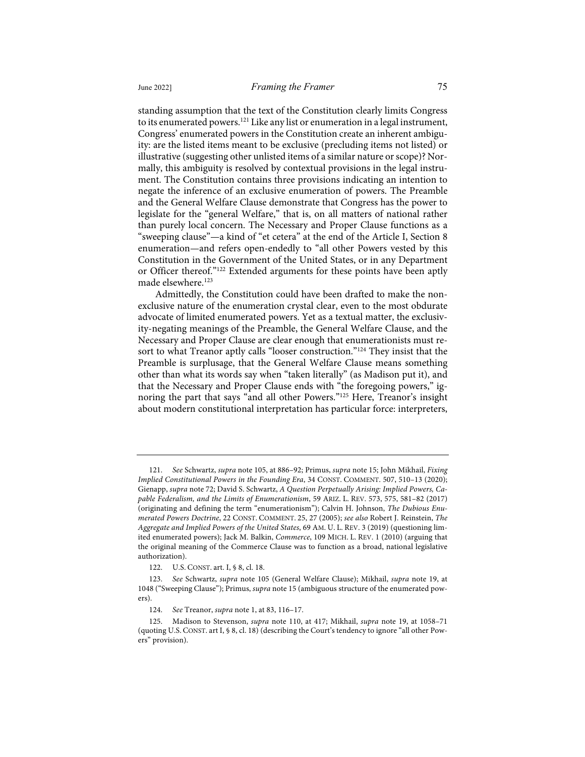standing assumption that the text of the Constitution clearly limits Congress to its enumerated powers.<sup>121</sup> Like any list or enumeration in a legal instrument, Congress' enumerated powers in the Constitution create an inherent ambiguity: are the listed items meant to be exclusive (precluding items not listed) or illustrative (suggesting other unlisted items of a similar nature or scope)? Normally, this ambiguity is resolved by contextual provisions in the legal instrument. The Constitution contains three provisions indicating an intention to negate the inference of an exclusive enumeration of powers. The Preamble and the General Welfare Clause demonstrate that Congress has the power to legislate for the "general Welfare," that is, on all matters of national rather than purely local concern. The Necessary and Proper Clause functions as a "sweeping clause"—a kind of "et cetera" at the end of the Article I, Section 8 enumeration—and refers open-endedly to "all other Powers vested by this Constitution in the Government of the United States, or in any Department or Officer thereof."122 Extended arguments for these points have been aptly made elsewhere.<sup>123</sup>

Admittedly, the Constitution could have been drafted to make the nonexclusive nature of the enumeration crystal clear, even to the most obdurate advocate of limited enumerated powers. Yet as a textual matter, the exclusivity-negating meanings of the Preamble, the General Welfare Clause, and the Necessary and Proper Clause are clear enough that enumerationists must resort to what Treanor aptly calls "looser construction."<sup>124</sup> They insist that the Preamble is surplusage, that the General Welfare Clause means something other than what its words say when "taken literally" (as Madison put it), and that the Necessary and Proper Clause ends with "the foregoing powers," ignoring the part that says "and all other Powers."125 Here, Treanor's insight about modern constitutional interpretation has particular force: interpreters,

<sup>121.</sup> *See* Schwartz, *supra* note 105, at 886–92; Primus, *supra* note 15; John Mikhail, *Fixing Implied Constitutional Powers in the Founding Era*, 34 CONST. COMMENT. 507, 510–13 (2020); Gienapp, *supra* note 72; David S. Schwartz, *A Question Perpetually Arising: Implied Powers, Capable Federalism, and the Limits of Enumerationism*, 59 ARIZ. L. REV. 573, 575, 581–82 (2017) (originating and defining the term "enumerationism"); Calvin H. Johnson, *The Dubious Enumerated Powers Doctrine*, 22 CONST. COMMENT. 25, 27 (2005); *see also* Robert J. Reinstein, *The Aggregate and Implied Powers of the United States*, 69 AM. U. L. REV. 3 (2019) (questioning limited enumerated powers); Jack M. Balkin, *Commerce*, 109 MICH. L. REV. 1 (2010) (arguing that the original meaning of the Commerce Clause was to function as a broad, national legislative authorization).

<sup>122.</sup> U.S. CONST. art. I, § 8, cl. 18.

<sup>123.</sup> *See* Schwartz, *supra* note 105 (General Welfare Clause); Mikhail, *supra* note 19, at 1048 ("Sweeping Clause"); Primus, *supra* note 15 (ambiguous structure of the enumerated powers).

<sup>124.</sup> *See* Treanor, *supra* note 1, at 83, 116–17.

<sup>125.</sup> Madison to Stevenson, *supra* note 110, at 417; Mikhail, *supra* note 19, at 1058–71 (quoting U.S. CONST. art I, § 8, cl. 18) (describing the Court's tendency to ignore "all other Powers" provision).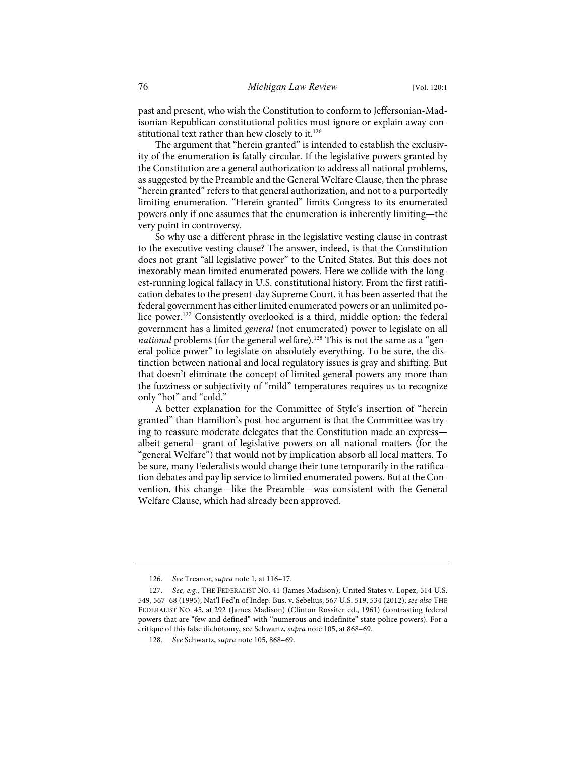past and present, who wish the Constitution to conform to Jeffersonian-Madisonian Republican constitutional politics must ignore or explain away constitutional text rather than hew closely to it.<sup>126</sup>

The argument that "herein granted" is intended to establish the exclusivity of the enumeration is fatally circular. If the legislative powers granted by the Constitution are a general authorization to address all national problems, as suggested by the Preamble and the General Welfare Clause, then the phrase "herein granted" refers to that general authorization, and not to a purportedly limiting enumeration. "Herein granted" limits Congress to its enumerated powers only if one assumes that the enumeration is inherently limiting—the very point in controversy.

So why use a different phrase in the legislative vesting clause in contrast to the executive vesting clause? The answer, indeed, is that the Constitution does not grant "all legislative power" to the United States. But this does not inexorably mean limited enumerated powers. Here we collide with the longest-running logical fallacy in U.S. constitutional history. From the first ratification debates to the present-day Supreme Court, it has been asserted that the federal government has either limited enumerated powers or an unlimited police power.<sup>127</sup> Consistently overlooked is a third, middle option: the federal government has a limited *general* (not enumerated) power to legislate on all *national* problems (for the general welfare).<sup>128</sup> This is not the same as a "general police power" to legislate on absolutely everything. To be sure, the distinction between national and local regulatory issues is gray and shifting. But that doesn't eliminate the concept of limited general powers any more than the fuzziness or subjectivity of "mild" temperatures requires us to recognize only "hot" and "cold."

A better explanation for the Committee of Style's insertion of "herein granted" than Hamilton's post-hoc argument is that the Committee was trying to reassure moderate delegates that the Constitution made an express albeit general—grant of legislative powers on all national matters (for the "general Welfare") that would not by implication absorb all local matters. To be sure, many Federalists would change their tune temporarily in the ratification debates and pay lip service to limited enumerated powers. But at the Convention, this change—like the Preamble—was consistent with the General Welfare Clause, which had already been approved.

<sup>126.</sup> *See* Treanor, *supra* note 1, at 116–17.

<sup>127.</sup> *See, e.g.*, THE FEDERALIST NO. 41 (James Madison); United States v. Lopez, 514 U.S. 549, 567–68 (1995); Nat'l Fed'n of Indep. Bus. v. Sebelius, 567 U.S. 519, 534 (2012); *see also* THE FEDERALIST NO. 45, at 292 (James Madison) (Clinton Rossiter ed., 1961) (contrasting federal powers that are "few and defined" with "numerous and indefinite" state police powers). For a critique of this false dichotomy, see Schwartz, *supra* note 105, at 868–69.

<sup>128.</sup> *See* Schwartz, *supra* note 105, 868–69.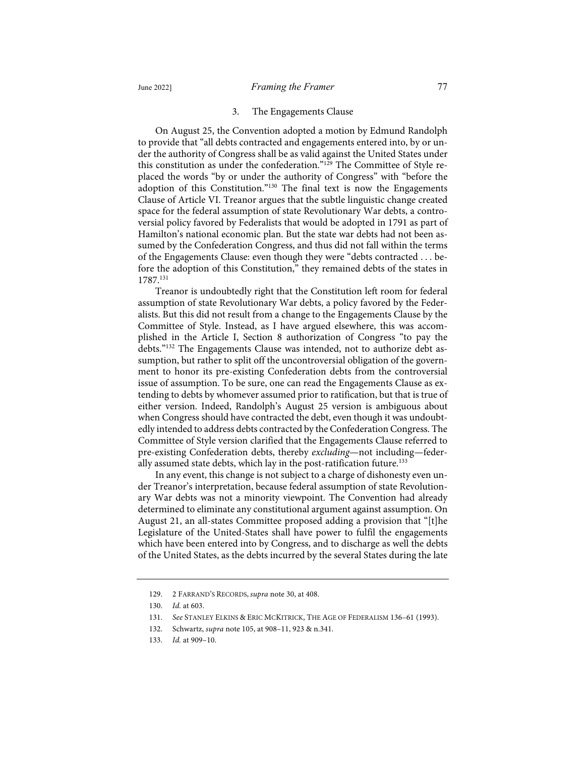#### 3. The Engagements Clause

On August 25, the Convention adopted a motion by Edmund Randolph to provide that "all debts contracted and engagements entered into, by or under the authority of Congress shall be as valid against the United States under this constitution as under the confederation."<sup>129</sup> The Committee of Style replaced the words "by or under the authority of Congress" with "before the adoption of this Constitution."<sup>130</sup> The final text is now the Engagements Clause of Article VI. Treanor argues that the subtle linguistic change created space for the federal assumption of state Revolutionary War debts, a controversial policy favored by Federalists that would be adopted in 1791 as part of Hamilton's national economic plan. But the state war debts had not been assumed by the Confederation Congress, and thus did not fall within the terms of the Engagements Clause: even though they were "debts contracted . . . before the adoption of this Constitution," they remained debts of the states in 1787.131

Treanor is undoubtedly right that the Constitution left room for federal assumption of state Revolutionary War debts, a policy favored by the Federalists. But this did not result from a change to the Engagements Clause by the Committee of Style. Instead, as I have argued elsewhere, this was accomplished in the Article I, Section 8 authorization of Congress "to pay the debts."132 The Engagements Clause was intended, not to authorize debt assumption, but rather to split off the uncontroversial obligation of the government to honor its pre-existing Confederation debts from the controversial issue of assumption. To be sure, one can read the Engagements Clause as extending to debts by whomever assumed prior to ratification, but that is true of either version. Indeed, Randolph's August 25 version is ambiguous about when Congress should have contracted the debt, even though it was undoubtedly intended to address debts contracted by the Confederation Congress. The Committee of Style version clarified that the Engagements Clause referred to pre-existing Confederation debts, thereby *excluding*—not including—federally assumed state debts, which lay in the post-ratification future.<sup>133</sup>

In any event, this change is not subject to a charge of dishonesty even under Treanor's interpretation, because federal assumption of state Revolutionary War debts was not a minority viewpoint. The Convention had already determined to eliminate any constitutional argument against assumption. On August 21, an all-states Committee proposed adding a provision that "[t]he Legislature of the United-States shall have power to fulfil the engagements which have been entered into by Congress, and to discharge as well the debts of the United States, as the debts incurred by the several States during the late

<sup>129.</sup> 2 FARRAND'S RECORDS, *supra* note 30, at 408.

<sup>130.</sup> *Id.* at 603.

<sup>131.</sup> *See* STANLEY ELKINS & ERIC MCKITRICK, THE AGE OF FEDERALISM 136–61 (1993).

<sup>132.</sup> Schwartz, *supra* note 105, at 908–11, 923 & n.341.

<sup>133.</sup> *Id.* at 909–10.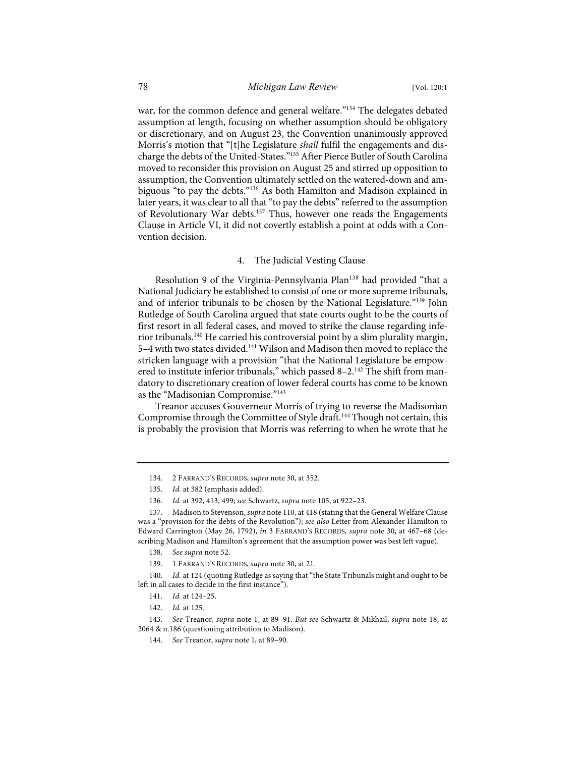war, for the common defence and general welfare."<sup>134</sup> The delegates debated assumption at length, focusing on whether assumption should be obligatory or discretionary, and on August 23, the Convention unanimously approved Morris's motion that "[t]he Legislature *shall* fulfil the engagements and discharge the debts of the United-States."135 After Pierce Butler of South Carolina moved to reconsider this provision on August 25 and stirred up opposition to assumption, the Convention ultimately settled on the watered-down and ambiguous "to pay the debts."136 As both Hamilton and Madison explained in later years, it was clear to all that "to pay the debts" referred to the assumption of Revolutionary War debts.<sup>137</sup> Thus, however one reads the Engagements Clause in Article VI, it did not covertly establish a point at odds with a Convention decision.

#### 4. The Judicial Vesting Clause

Resolution 9 of the Virginia-Pennsylvania Plan<sup>138</sup> had provided "that a National Judiciary be established to consist of one or more supreme tribunals, and of inferior tribunals to be chosen by the National Legislature."<sup>139</sup> John Rutledge of South Carolina argued that state courts ought to be the courts of first resort in all federal cases, and moved to strike the clause regarding inferior tribunals.140 He carried his controversial point by a slim plurality margin, 5-4 with two states divided.<sup>141</sup> Wilson and Madison then moved to replace the stricken language with a provision "that the National Legislature be empowered to institute inferior tribunals," which passed  $8-2$ .<sup>142</sup> The shift from mandatory to discretionary creation of lower federal courts has come to be known as the "Madisonian Compromise."<sup>143</sup>

Treanor accuses Gouverneur Morris of trying to reverse the Madisonian Compromise through the Committee of Style draft.<sup>144</sup> Though not certain, this is probably the provision that Morris was referring to when he wrote that he

<sup>134.</sup> 2 FARRAND'S RECORDS, *supra* note 30, at 352.

<sup>135.</sup> *Id.* at 382 (emphasis added).

<sup>136.</sup> *Id.* at 392, 413, 499; *see* Schwartz, *supra* note 105, at 922–23.

<sup>137.</sup> Madison to Stevenson, *supra* note 110, at 418 (stating that the General Welfare Clause was a "provision for the debts of the Revolution"); *see also* Letter from Alexander Hamilton to Edward Carrington (May 26, 1792), *in* 3 FARRAND'S RECORDS, *supra* note 30, at 467–68 (describing Madison and Hamilton's agreement that the assumption power was best left vague).

<sup>138.</sup> *See supra* note 52.

<sup>139.</sup> 1 FARRAND'S RECORDS, *supra* note 30, at 21.

<sup>140.</sup> *Id.* at 124 (quoting Rutledge as saying that "the State Tribunals might and ought to be left in all cases to decide in the first instance").

<sup>141.</sup> *Id.* at 124–25.

<sup>142.</sup> *Id.* at 125.

<sup>143.</sup> *See* Treanor, *supra* note 1, at 89–91. *But see* Schwartz & Mikhail, *supra* note 18, at 2064 & n.186 (questioning attribution to Madison).

<sup>144.</sup> *See* Treanor, *supra* note 1, at 89–90.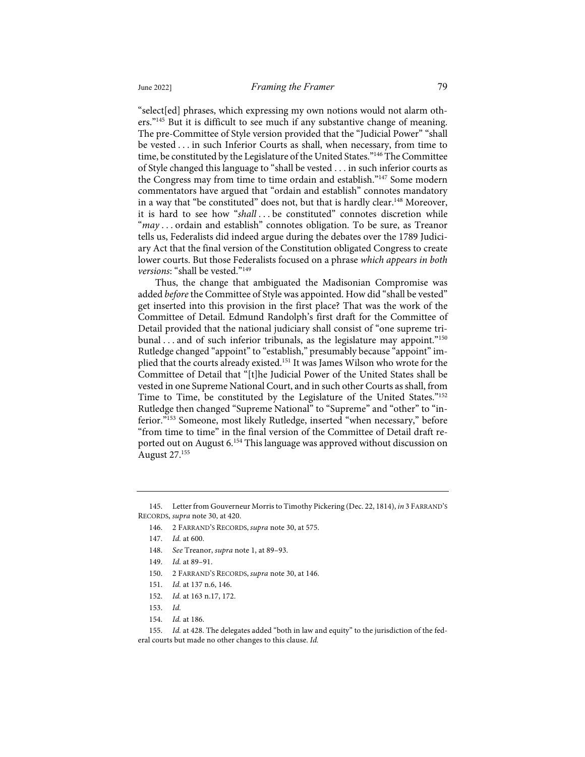"select[ed] phrases, which expressing my own notions would not alarm others."<sup>145</sup> But it is difficult to see much if any substantive change of meaning. The pre-Committee of Style version provided that the "Judicial Power" "shall be vested . . . in such Inferior Courts as shall, when necessary, from time to time, be constituted by the Legislature of the United States."<sup>146</sup> The Committee of Style changed this language to "shall be vested . . . in such inferior courts as the Congress may from time to time ordain and establish."147 Some modern commentators have argued that "ordain and establish" connotes mandatory in a way that "be constituted" does not, but that is hardly clear.<sup>148</sup> Moreover, it is hard to see how "*shall* . . . be constituted" connotes discretion while "*may* . . . ordain and establish" connotes obligation. To be sure, as Treanor tells us, Federalists did indeed argue during the debates over the 1789 Judiciary Act that the final version of the Constitution obligated Congress to create lower courts. But those Federalists focused on a phrase *which appears in both versions*: "shall be vested."149

Thus, the change that ambiguated the Madisonian Compromise was added *before* the Committee of Style was appointed. How did "shall be vested" get inserted into this provision in the first place? That was the work of the Committee of Detail. Edmund Randolph's first draft for the Committee of Detail provided that the national judiciary shall consist of "one supreme tribunal  $\ldots$  and of such inferior tribunals, as the legislature may appoint."<sup>150</sup> Rutledge changed "appoint" to "establish," presumably because "appoint" implied that the courts already existed.151 It was James Wilson who wrote for the Committee of Detail that "[t]he Judicial Power of the United States shall be vested in one Supreme National Court, and in such other Courts as shall, from Time to Time, be constituted by the Legislature of the United States."<sup>152</sup> Rutledge then changed "Supreme National" to "Supreme" and "other" to "inferior."<sup>153</sup> Someone, most likely Rutledge, inserted "when necessary," before "from time to time" in the final version of the Committee of Detail draft reported out on August 6. <sup>154</sup> This language was approved without discussion on August 27.155

<sup>145.</sup> Letter from Gouverneur Morris to Timothy Pickering (Dec. 22, 1814), *in* 3 FARRAND'S RECORDS, *supra* note 30, at 420.

<sup>146.</sup> 2 FARRAND'S RECORDS, *supra* note 30, at 575.

<sup>147.</sup> *Id.* at 600.

<sup>148.</sup> *See* Treanor, *supra* note 1, at 89–93.

<sup>149.</sup> *Id.* at 89–91.

<sup>150.</sup> 2 FARRAND'S RECORDS, *supra* note 30, at 146.

<sup>151.</sup> *Id.* at 137 n.6, 146.

<sup>152.</sup> *Id.* at 163 n.17, 172.

<sup>153.</sup> *Id.*

<sup>154.</sup> *Id.* at 186.

<sup>155.</sup> *Id.* at 428. The delegates added "both in law and equity" to the jurisdiction of the federal courts but made no other changes to this clause. *Id.*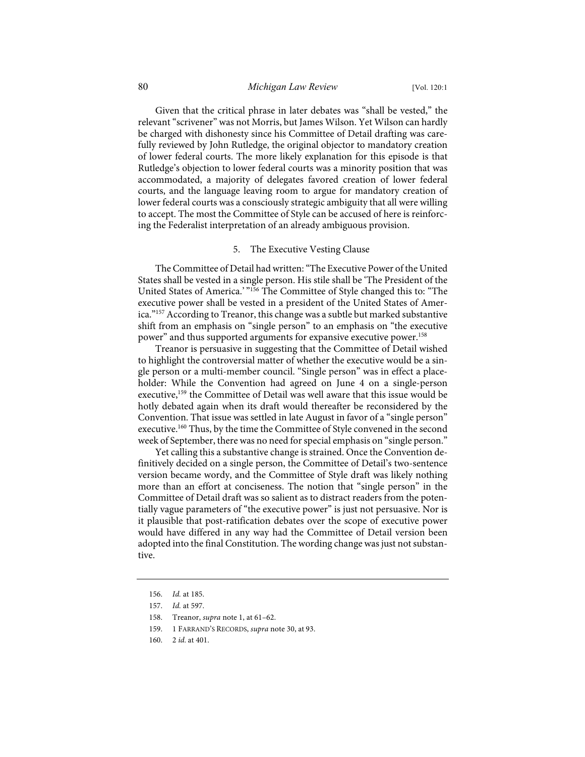Given that the critical phrase in later debates was "shall be vested," the relevant "scrivener" was not Morris, but James Wilson. Yet Wilson can hardly be charged with dishonesty since his Committee of Detail drafting was carefully reviewed by John Rutledge, the original objector to mandatory creation of lower federal courts. The more likely explanation for this episode is that Rutledge's objection to lower federal courts was a minority position that was accommodated, a majority of delegates favored creation of lower federal courts, and the language leaving room to argue for mandatory creation of lower federal courts was a consciously strategic ambiguity that all were willing to accept. The most the Committee of Style can be accused of here is reinforcing the Federalist interpretation of an already ambiguous provision.

#### 5. The Executive Vesting Clause

The Committee of Detail had written: "The Executive Power of the United States shall be vested in a single person. His stile shall be 'The President of the United States of America.' "156 The Committee of Style changed this to: "The executive power shall be vested in a president of the United States of America."157 According to Treanor, this change was a subtle but marked substantive shift from an emphasis on "single person" to an emphasis on "the executive power" and thus supported arguments for expansive executive power.158

Treanor is persuasive in suggesting that the Committee of Detail wished to highlight the controversial matter of whether the executive would be a single person or a multi-member council. "Single person" was in effect a placeholder: While the Convention had agreed on June 4 on a single-person executive,<sup>159</sup> the Committee of Detail was well aware that this issue would be hotly debated again when its draft would thereafter be reconsidered by the Convention. That issue was settled in late August in favor of a "single person" executive.<sup>160</sup> Thus, by the time the Committee of Style convened in the second week of September, there was no need for special emphasis on "single person."

Yet calling this a substantive change is strained. Once the Convention definitively decided on a single person, the Committee of Detail's two-sentence version became wordy, and the Committee of Style draft was likely nothing more than an effort at conciseness. The notion that "single person" in the Committee of Detail draft was so salient as to distract readers from the potentially vague parameters of "the executive power" is just not persuasive. Nor is it plausible that post-ratification debates over the scope of executive power would have differed in any way had the Committee of Detail version been adopted into the final Constitution. The wording change was just not substantive.

- 159. 1 FARRAND'S RECORDS, *supra* note 30, at 93.
- 160. 2 *id.* at 401.

<sup>156.</sup> *Id.* at 185.

<sup>157.</sup> *Id.* at 597.

<sup>158.</sup> Treanor, *supra* note 1, at 61–62.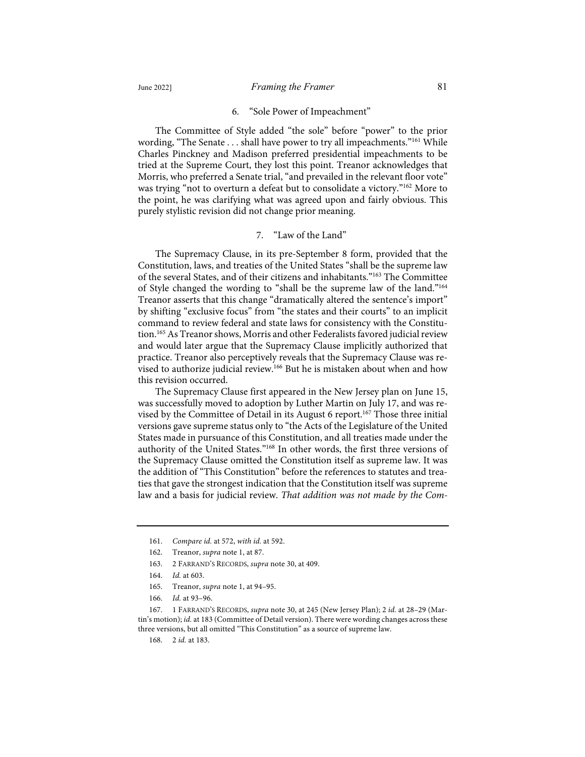# 6. "Sole Power of Impeachment"

The Committee of Style added "the sole" before "power" to the prior wording, "The Senate . . . shall have power to try all impeachments."<sup>161</sup> While Charles Pinckney and Madison preferred presidential impeachments to be tried at the Supreme Court, they lost this point. Treanor acknowledges that Morris, who preferred a Senate trial, "and prevailed in the relevant floor vote" was trying "not to overturn a defeat but to consolidate a victory."<sup>162</sup> More to the point, he was clarifying what was agreed upon and fairly obvious. This purely stylistic revision did not change prior meaning.

#### 7. "Law of the Land"

The Supremacy Clause, in its pre-September 8 form, provided that the Constitution, laws, and treaties of the United States "shall be the supreme law of the several States, and of their citizens and inhabitants."163 The Committee of Style changed the wording to "shall be the supreme law of the land."164 Treanor asserts that this change "dramatically altered the sentence's import" by shifting "exclusive focus" from "the states and their courts" to an implicit command to review federal and state laws for consistency with the Constitution.165 As Treanor shows, Morris and other Federalists favored judicial review and would later argue that the Supremacy Clause implicitly authorized that practice. Treanor also perceptively reveals that the Supremacy Clause was revised to authorize judicial review.166 But he is mistaken about when and how this revision occurred.

The Supremacy Clause first appeared in the New Jersey plan on June 15, was successfully moved to adoption by Luther Martin on July 17, and was revised by the Committee of Detail in its August 6 report.<sup>167</sup> Those three initial versions gave supreme status only to "the Acts of the Legislature of the United States made in pursuance of this Constitution, and all treaties made under the authority of the United States."168 In other words, the first three versions of the Supremacy Clause omitted the Constitution itself as supreme law. It was the addition of "This Constitution" before the references to statutes and treaties that gave the strongest indication that the Constitution itself was supreme law and a basis for judicial review. *That addition was not made by the Com-*

166. *Id.* at 93–96.

167. 1 FARRAND'S RECORDS, *supra* note 30, at 245 (New Jersey Plan); 2 *id.* at 28–29 (Martin's motion); *id.* at 183 (Committee of Detail version). There were wording changes across these three versions, but all omitted "This Constitution" as a source of supreme law.

168. 2 *id.* at 183.

<sup>161.</sup> *Compare id.* at 572, *with id.* at 592.

<sup>162.</sup> Treanor, *supra* note 1, at 87.

<sup>163.</sup> 2 FARRAND'S RECORDS, *supra* note 30, at 409.

<sup>164.</sup> *Id.* at 603.

<sup>165.</sup> Treanor, *supra* note 1, at 94–95.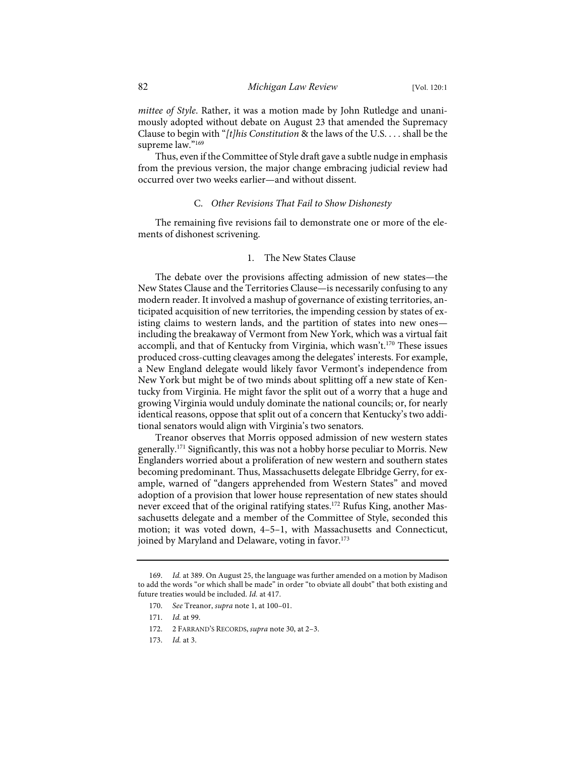*mittee of Style*. Rather, it was a motion made by John Rutledge and unanimously adopted without debate on August 23 that amended the Supremacy Clause to begin with "*[t]his Constitution* & the laws of the U.S. . . . shall be the supreme law."<sup>169</sup>

Thus, even if the Committee of Style draft gave a subtle nudge in emphasis from the previous version, the major change embracing judicial review had occurred over two weeks earlier—and without dissent.

# C. *Other Revisions That Fail to Show Dishonesty*

The remaining five revisions fail to demonstrate one or more of the elements of dishonest scrivening.

# 1. The New States Clause

The debate over the provisions affecting admission of new states—the New States Clause and the Territories Clause—is necessarily confusing to any modern reader. It involved a mashup of governance of existing territories, anticipated acquisition of new territories, the impending cession by states of existing claims to western lands, and the partition of states into new ones including the breakaway of Vermont from New York, which was a virtual fait accompli, and that of Kentucky from Virginia, which wasn't.<sup>170</sup> These issues produced cross-cutting cleavages among the delegates' interests. For example, a New England delegate would likely favor Vermont's independence from New York but might be of two minds about splitting off a new state of Kentucky from Virginia. He might favor the split out of a worry that a huge and growing Virginia would unduly dominate the national councils; or, for nearly identical reasons, oppose that split out of a concern that Kentucky's two additional senators would align with Virginia's two senators.

Treanor observes that Morris opposed admission of new western states generally.<sup>171</sup> Significantly, this was not a hobby horse peculiar to Morris. New Englanders worried about a proliferation of new western and southern states becoming predominant. Thus, Massachusetts delegate Elbridge Gerry, for example, warned of "dangers apprehended from Western States" and moved adoption of a provision that lower house representation of new states should never exceed that of the original ratifying states.<sup>172</sup> Rufus King, another Massachusetts delegate and a member of the Committee of Style, seconded this motion; it was voted down, 4–5–1, with Massachusetts and Connecticut, joined by Maryland and Delaware, voting in favor.<sup>173</sup>

<sup>169.</sup> *Id.* at 389. On August 25, the language was further amended on a motion by Madison to add the words "or which shall be made" in order "to obviate all doubt" that both existing and future treaties would be included. *Id.* at 417.

<sup>170.</sup> *See* Treanor, *supra* note 1, at 100–01.

<sup>171.</sup> *Id.* at 99.

<sup>172.</sup> 2 FARRAND'S RECORDS, *supra* note 30, at 2–3.

<sup>173.</sup> *Id.* at 3.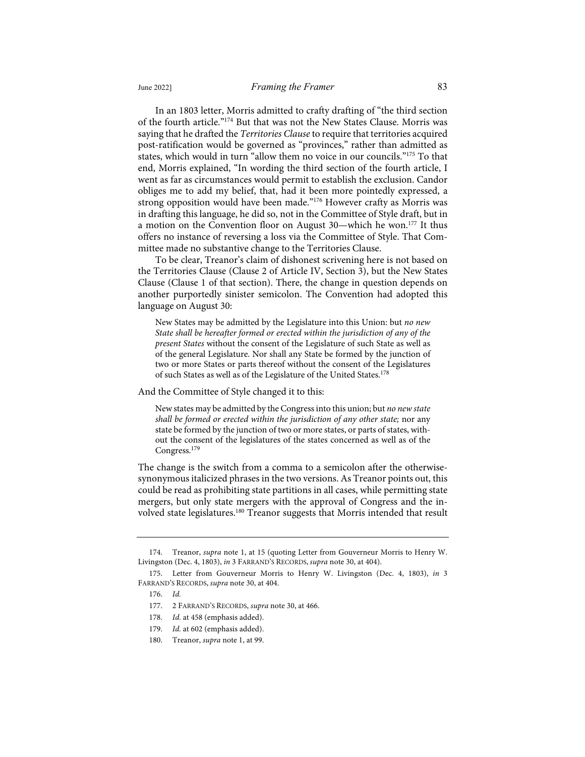In an 1803 letter, Morris admitted to crafty drafting of "the third section of the fourth article."174 But that was not the New States Clause. Morris was saying that he drafted the *Territories Clause* to require that territories acquired post-ratification would be governed as "provinces," rather than admitted as states, which would in turn "allow them no voice in our councils."175 To that end, Morris explained, "In wording the third section of the fourth article, I went as far as circumstances would permit to establish the exclusion. Candor obliges me to add my belief, that, had it been more pointedly expressed, a strong opposition would have been made."<sup>176</sup> However crafty as Morris was in drafting this language, he did so, not in the Committee of Style draft, but in a motion on the Convention floor on August 30—which he won.<sup>177</sup> It thus offers no instance of reversing a loss via the Committee of Style. That Committee made no substantive change to the Territories Clause.

To be clear, Treanor's claim of dishonest scrivening here is not based on the Territories Clause (Clause 2 of Article IV, Section 3), but the New States Clause (Clause 1 of that section). There, the change in question depends on another purportedly sinister semicolon. The Convention had adopted this language on August 30:

New States may be admitted by the Legislature into this Union: but *no new State shall be hereafter formed or erected within the jurisdiction of any of the present States* without the consent of the Legislature of such State as well as of the general Legislature. Nor shall any State be formed by the junction of two or more States or parts thereof without the consent of the Legislatures of such States as well as of the Legislature of the United States.<sup>178</sup>

And the Committee of Style changed it to this:

New states may be admitted by the Congress into this union; but *no new state shall be formed or erected within the jurisdiction of any other state;* nor any state be formed by the junction of two or more states, or parts of states, without the consent of the legislatures of the states concerned as well as of the Congress.<sup>179</sup>

The change is the switch from a comma to a semicolon after the otherwisesynonymous italicized phrases in the two versions. As Treanor points out, this could be read as prohibiting state partitions in all cases, while permitting state mergers, but only state mergers with the approval of Congress and the involved state legislatures.<sup>180</sup> Treanor suggests that Morris intended that result

Treanor, *supra* note 1, at 15 (quoting Letter from Gouverneur Morris to Henry W. Livingston (Dec. 4, 1803), *in* 3 FARRAND'S RECORDS, *supra* note 30, at 404).

<sup>175.</sup> Letter from Gouverneur Morris to Henry W. Livingston (Dec. 4, 1803), *in* 3 FARRAND'S RECORDS, *supra* note 30, at 404.

<sup>176.</sup> *Id.*

<sup>177.</sup> 2 FARRAND'S RECORDS, *supra* note 30, at 466.

<sup>178.</sup> *Id.* at 458 (emphasis added).

<sup>179.</sup> *Id.* at 602 (emphasis added).

<sup>180.</sup> Treanor, *supra* note 1, at 99.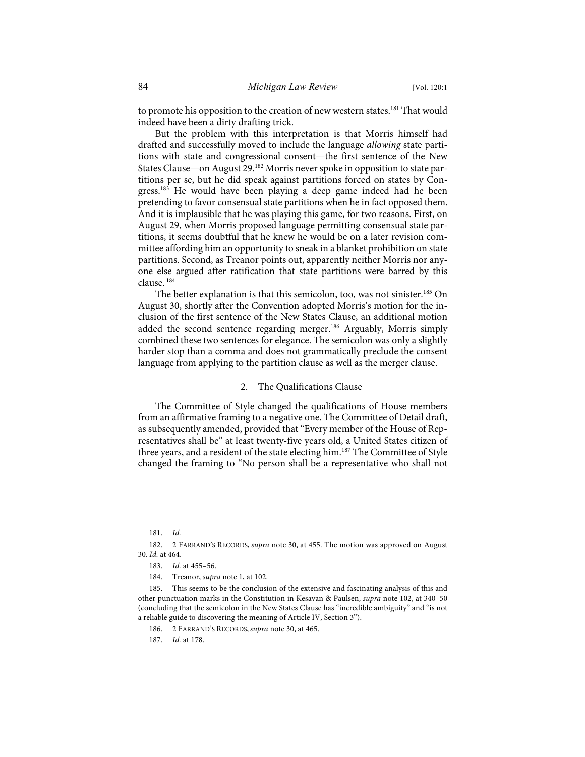to promote his opposition to the creation of new western states.<sup>181</sup> That would indeed have been a dirty drafting trick.

But the problem with this interpretation is that Morris himself had drafted and successfully moved to include the language *allowing* state partitions with state and congressional consent—the first sentence of the New States Clause—on August 29.<sup>182</sup> Morris never spoke in opposition to state partitions per se, but he did speak against partitions forced on states by Congress.183 He would have been playing a deep game indeed had he been pretending to favor consensual state partitions when he in fact opposed them. And it is implausible that he was playing this game, for two reasons. First, on August 29, when Morris proposed language permitting consensual state partitions, it seems doubtful that he knew he would be on a later revision committee affording him an opportunity to sneak in a blanket prohibition on state partitions. Second, as Treanor points out, apparently neither Morris nor anyone else argued after ratification that state partitions were barred by this clause. <sup>184</sup>

The better explanation is that this semicolon, too, was not sinister.<sup>185</sup> On August 30, shortly after the Convention adopted Morris's motion for the inclusion of the first sentence of the New States Clause, an additional motion added the second sentence regarding merger.<sup>186</sup> Arguably, Morris simply combined these two sentences for elegance. The semicolon was only a slightly harder stop than a comma and does not grammatically preclude the consent language from applying to the partition clause as well as the merger clause.

#### 2. The Qualifications Clause

The Committee of Style changed the qualifications of House members from an affirmative framing to a negative one. The Committee of Detail draft, as subsequently amended, provided that "Every member of the House of Representatives shall be" at least twenty-five years old, a United States citizen of three years, and a resident of the state electing him.<sup>187</sup> The Committee of Style changed the framing to "No person shall be a representative who shall not

<sup>181.</sup> *Id.*

<sup>182.</sup> 2 FARRAND'S RECORDS, *supra* note 30, at 455. The motion was approved on August 30. *Id.* at 464.

<sup>183.</sup> *Id.* at 455–56.

<sup>184.</sup> Treanor, *supra* note 1, at 102.

<sup>185.</sup> This seems to be the conclusion of the extensive and fascinating analysis of this and other punctuation marks in the Constitution in Kesavan & Paulsen, *supra* note 102, at 340–50 (concluding that the semicolon in the New States Clause has "incredible ambiguity" and "is not a reliable guide to discovering the meaning of Article IV, Section 3").

<sup>186.</sup> 2 FARRAND'S RECORDS, *supra* note 30, at 465.

<sup>187.</sup> *Id.* at 178.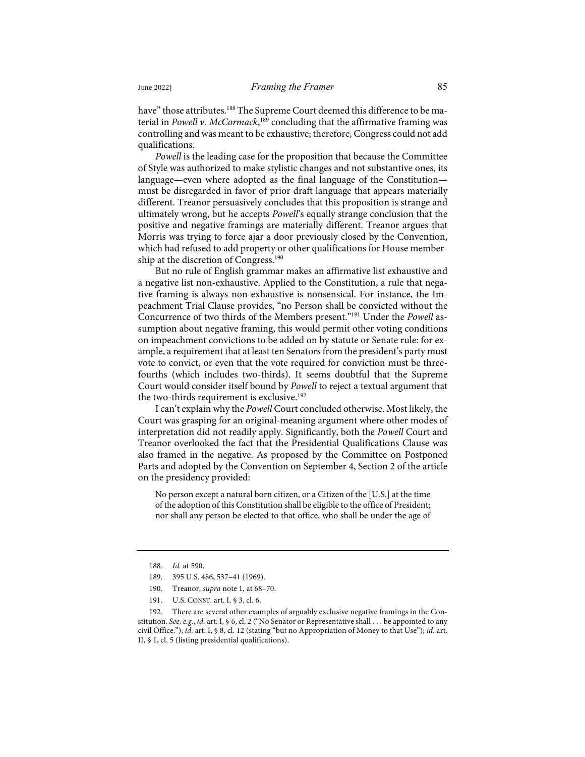have" those attributes.<sup>188</sup> The Supreme Court deemed this difference to be material in *Powell v. McCormack*, <sup>189</sup> concluding that the affirmative framing was controlling and was meant to be exhaustive; therefore, Congress could not add qualifications.

*Powell* is the leading case for the proposition that because the Committee of Style was authorized to make stylistic changes and not substantive ones, its language—even where adopted as the final language of the Constitution must be disregarded in favor of prior draft language that appears materially different. Treanor persuasively concludes that this proposition is strange and ultimately wrong, but he accepts *Powell*'s equally strange conclusion that the positive and negative framings are materially different. Treanor argues that Morris was trying to force ajar a door previously closed by the Convention, which had refused to add property or other qualifications for House membership at the discretion of Congress.<sup>190</sup>

But no rule of English grammar makes an affirmative list exhaustive and a negative list non-exhaustive. Applied to the Constitution, a rule that negative framing is always non-exhaustive is nonsensical. For instance, the Impeachment Trial Clause provides, "no Person shall be convicted without the Concurrence of two thirds of the Members present."191 Under the *Powell* assumption about negative framing, this would permit other voting conditions on impeachment convictions to be added on by statute or Senate rule: for example, a requirement that at least ten Senators from the president's party must vote to convict, or even that the vote required for conviction must be threefourths (which includes two-thirds). It seems doubtful that the Supreme Court would consider itself bound by *Powell* to reject a textual argument that the two-thirds requirement is exclusive.<sup>192</sup>

I can't explain why the *Powell* Court concluded otherwise. Most likely, the Court was grasping for an original-meaning argument where other modes of interpretation did not readily apply. Significantly, both the *Powell* Court and Treanor overlooked the fact that the Presidential Qualifications Clause was also framed in the negative. As proposed by the Committee on Postponed Parts and adopted by the Convention on September 4, Section 2 of the article on the presidency provided:

No person except a natural born citizen, or a Citizen of the [U.S.] at the time of the adoption of this Constitution shall be eligible to the office of President; nor shall any person be elected to that office, who shall be under the age of

191. U.S. CONST. art. I, § 3, cl. 6.

<sup>188.</sup> *Id.* at 590.

<sup>189.</sup> 395 U.S. 486, 537–41 (1969).

<sup>190.</sup> Treanor, *supra* note 1, at 68–70.

<sup>192.</sup> There are several other examples of arguably exclusive negative framings in the Constitution. *See, e.g.*, *id.* art. I, § 6, cl. 2 ("No Senator or Representative shall . . . be appointed to any civil Office."); *id.* art. I, § 8, cl. 12 (stating "but no Appropriation of Money to that Use"); *id.* art. II, § 1, cl. 5 (listing presidential qualifications).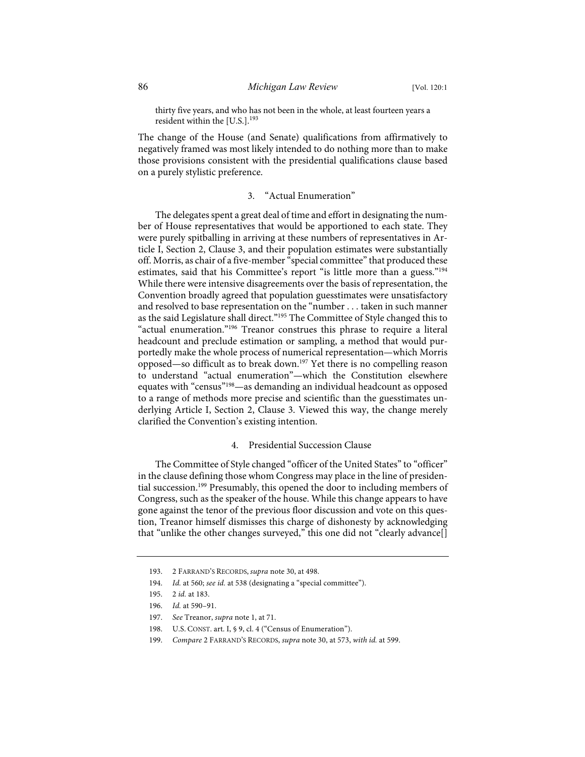thirty five years, and who has not been in the whole, at least fourteen years a resident within the  $[U.S.]$ .<sup>193</sup>

The change of the House (and Senate) qualifications from affirmatively to negatively framed was most likely intended to do nothing more than to make those provisions consistent with the presidential qualifications clause based on a purely stylistic preference.

# 3. "Actual Enumeration"

The delegates spent a great deal of time and effort in designating the number of House representatives that would be apportioned to each state. They were purely spitballing in arriving at these numbers of representatives in Article I, Section 2, Clause 3, and their population estimates were substantially off. Morris, as chair of a five-member "special committee" that produced these estimates, said that his Committee's report "is little more than a guess."<sup>194</sup> While there were intensive disagreements over the basis of representation, the Convention broadly agreed that population guesstimates were unsatisfactory and resolved to base representation on the "number . . . taken in such manner as the said Legislature shall direct."<sup>195</sup> The Committee of Style changed this to "actual enumeration."196 Treanor construes this phrase to require a literal headcount and preclude estimation or sampling, a method that would purportedly make the whole process of numerical representation—which Morris opposed—so difficult as to break down.197 Yet there is no compelling reason to understand "actual enumeration"—which the Constitution elsewhere equates with "census"198—as demanding an individual headcount as opposed to a range of methods more precise and scientific than the guesstimates underlying Article I, Section 2, Clause 3. Viewed this way, the change merely clarified the Convention's existing intention.

# 4. Presidential Succession Clause

The Committee of Style changed "officer of the United States" to "officer" in the clause defining those whom Congress may place in the line of presidential succession.199 Presumably, this opened the door to including members of Congress, such as the speaker of the house. While this change appears to have gone against the tenor of the previous floor discussion and vote on this question, Treanor himself dismisses this charge of dishonesty by acknowledging that "unlike the other changes surveyed," this one did not "clearly advance[]

<sup>193.</sup> 2 FARRAND'S RECORDS, *supra* note 30, at 498.

<sup>194.</sup> *Id.* at 560; *see id.* at 538 (designating a "special committee").

<sup>195.</sup> 2 *id.* at 183.

<sup>196.</sup> *Id.* at 590–91.

<sup>197.</sup> *See* Treanor, *supra* note 1, at 71.

<sup>198.</sup> U.S. CONST. art. I, § 9, cl. 4 ("Census of Enumeration").

<sup>199.</sup> *Compare* 2 FARRAND'S RECORDS, *supra* note 30, at 573, *with id.* at 599.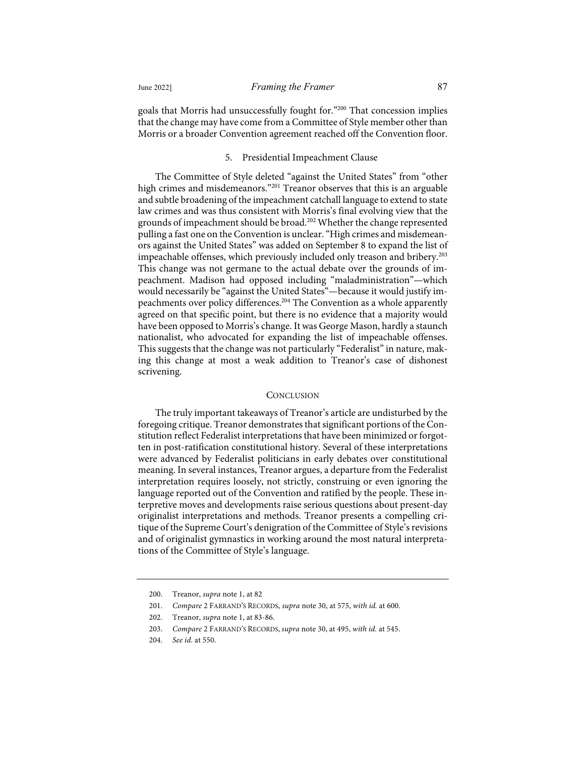goals that Morris had unsuccessfully fought for."200 That concession implies that the change may have come from a Committee of Style member other than Morris or a broader Convention agreement reached off the Convention floor.

# 5. Presidential Impeachment Clause

The Committee of Style deleted "against the United States" from "other high crimes and misdemeanors."<sup>201</sup> Treanor observes that this is an arguable and subtle broadening of the impeachment catchall language to extend to state law crimes and was thus consistent with Morris's final evolving view that the grounds of impeachment should be broad.<sup>202</sup> Whether the change represented pulling a fast one on the Convention is unclear. "High crimes and misdemeanors against the United States" was added on September 8 to expand the list of impeachable offenses, which previously included only treason and bribery.<sup>203</sup> This change was not germane to the actual debate over the grounds of impeachment. Madison had opposed including "maladministration"—which would necessarily be "against the United States"—because it would justify impeachments over policy differences.<sup>204</sup> The Convention as a whole apparently agreed on that specific point, but there is no evidence that a majority would have been opposed to Morris's change. It was George Mason, hardly a staunch nationalist, who advocated for expanding the list of impeachable offenses. This suggests that the change was not particularly "Federalist" in nature, making this change at most a weak addition to Treanor's case of dishonest scrivening.

#### **CONCLUSION**

The truly important takeaways of Treanor's article are undisturbed by the foregoing critique. Treanor demonstrates that significant portions of the Constitution reflect Federalist interpretations that have been minimized or forgotten in post-ratification constitutional history. Several of these interpretations were advanced by Federalist politicians in early debates over constitutional meaning. In several instances, Treanor argues, a departure from the Federalist interpretation requires loosely, not strictly, construing or even ignoring the language reported out of the Convention and ratified by the people. These interpretive moves and developments raise serious questions about present-day originalist interpretations and methods. Treanor presents a compelling critique of the Supreme Court's denigration of the Committee of Style's revisions and of originalist gymnastics in working around the most natural interpretations of the Committee of Style's language.

<sup>200.</sup> Treanor, *supra* note 1, at 82

<sup>201.</sup> *Compare* 2 FARRAND'S RECORDS, *supra* note 30, at 575, *with id.* at 600.

<sup>202.</sup> Treanor, *supra* note 1, at 83-86.

<sup>203.</sup> *Compare* 2 FARRAND'S RECORDS, *supra* note 30, at 495, *with id.* at 545.

<sup>204.</sup> *See id.* at 550.